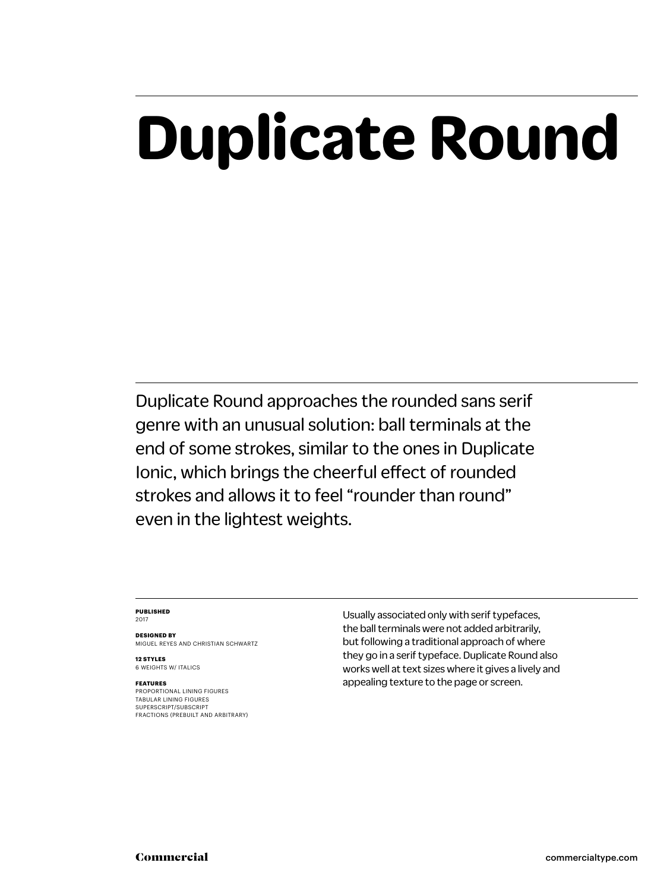## **Duplicate Round**

Duplicate Round approaches the rounded sans serif genre with an unusual solution: ball terminals at the end of some strokes, similar to the ones in Duplicate Ionic, which brings the cheerful effect of rounded strokes and allows it to feel "rounder than round" even in the lightest weights.

#### **PUBLISHED** 2017

**DESIGNED BY** MIGUEL REYES AND CHRISTIAN SCHWARTZ

**12 STYLES** 6 WEIGHTS W/ ITALICS

#### **FEATURES**

PROPORTIONAL LINING FIGURES TABULAR LINING FIGURES SUPERSCRIPT/SUBSCRIPT FRACTIONS (PREBUILT AND ARBITRARY) Usually associated only with serif typefaces, the ball terminals were not added arbitrarily, but following a traditional approach of where they go in a serif typeface. Duplicate Round also works well at text sizes where it gives a lively and appealing texture to the page or screen.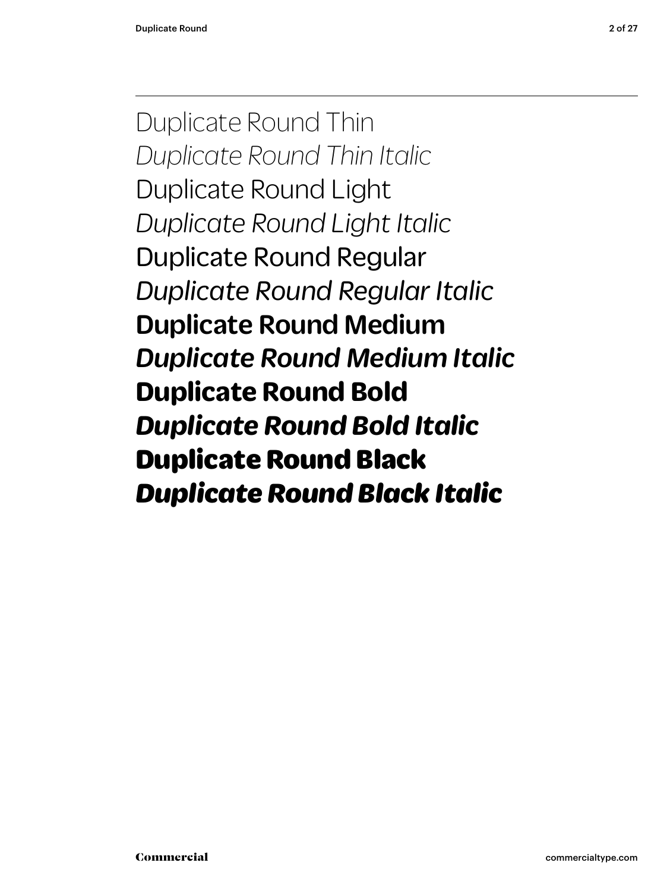Duplicate Round Thin *Duplicate Round Thin Italic* Duplicate Round Light *Duplicate Round Light Italic* Duplicate Round Regular *Duplicate Round Regular Italic* Duplicate Round Medium *Duplicate Round Medium Italic* **Duplicate Round Bold** *Duplicate Round Bold Italic* Duplicate Round Black *Duplicate Round Black Italic*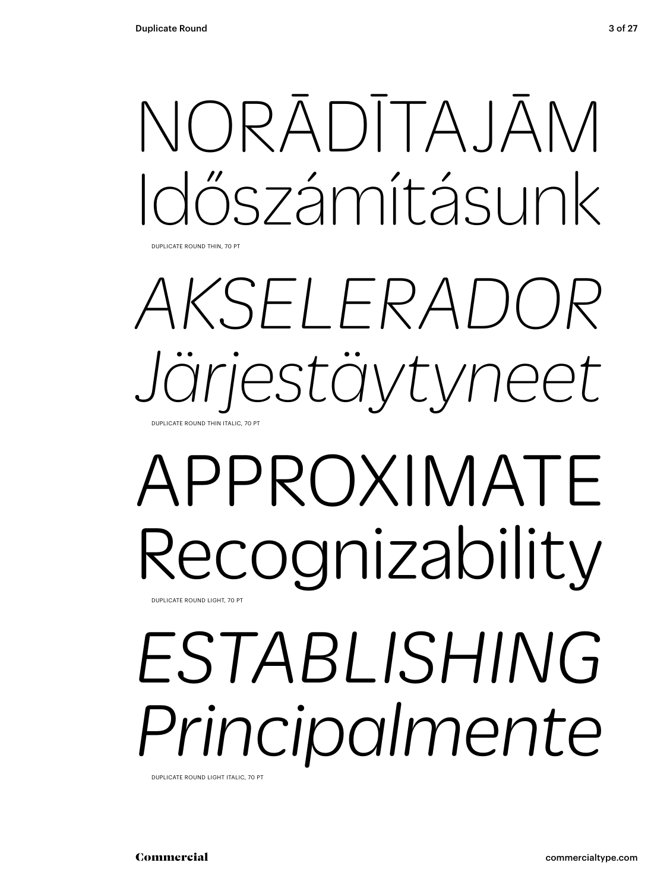# NORĀDĪTAJĀM Időszámításunk

DUPLICATE ROUND THIN, 70 PT

## *AKSELERADOR Järjestäytyneet* DUPLICATE ROUND THIN ITALIC, 70 PT

## APPROXIMATE Recognizability DUPLICATE ROUND LIGHT, 70 PT

# *ESTABLISHING Principalmente*

DUPLICATE ROUND LIGHT ITALIC, 70 PT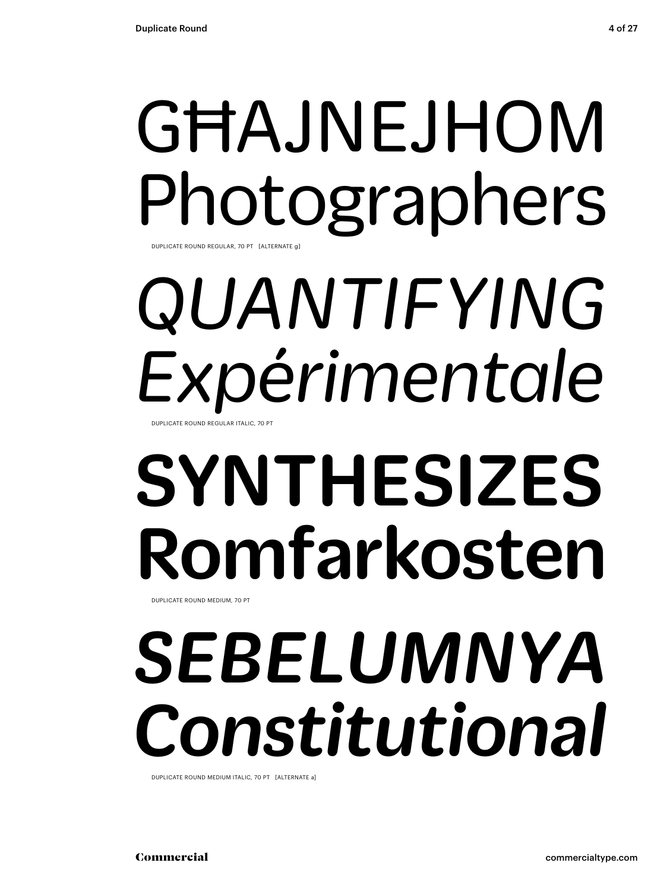### GĦAJNEJHOM Photographers DUPLICATE ROUND REGULAR, 70 PT [ALTERNATE

# *QUANTIFYING Expérimentale*

DUPLICATE ROUND REGULAR ITALIC, 70 PT

# SYNTHESIZES Romfarkosten

DUPLICATE ROUND MEDIUM, 70 PT

## *SEBELUMNYA Constitutional*

DUPLICATE ROUND MEDIUM ITALIC, 70 PT [ALTERNATE a]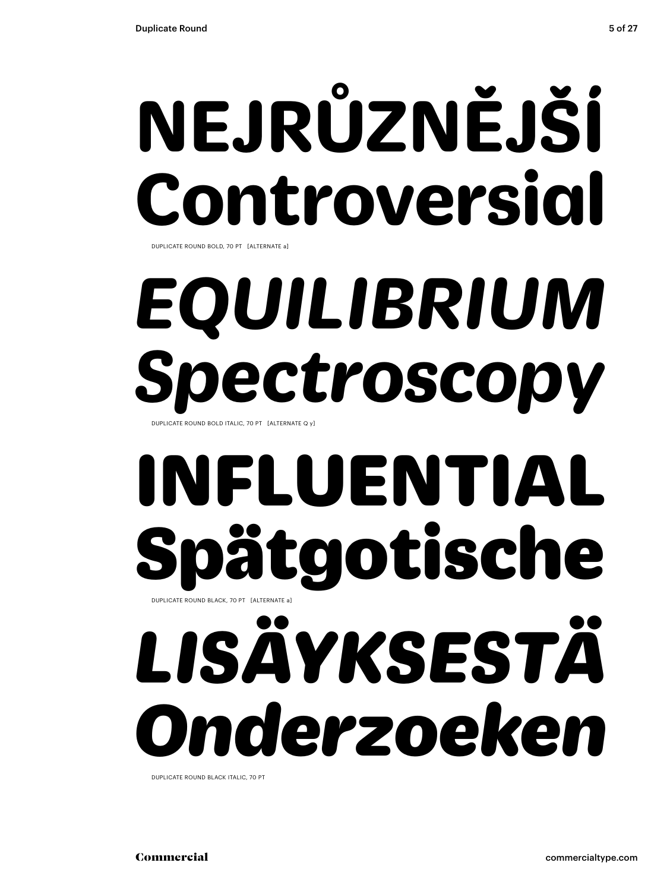# **NEJRŮZNĚJŠÍ Controversial**

DUPLICATE ROUND BOLD, 70 PT [ALTERNATE a]

# *EQUILIBRIUM Spectroscopy*

DUPLICATE ROUND BOLD ITALIC, 70 PT [ALTERNATE Q y]

## INFLUENTIAL ätgotische DUPLICATE ROUND BLACK, 70 PT [ALTERNATE a]

# *LISÄYKSESTÄ Onderzoeken*

DUPLICATE ROUND BLACK ITALIC, 70 PT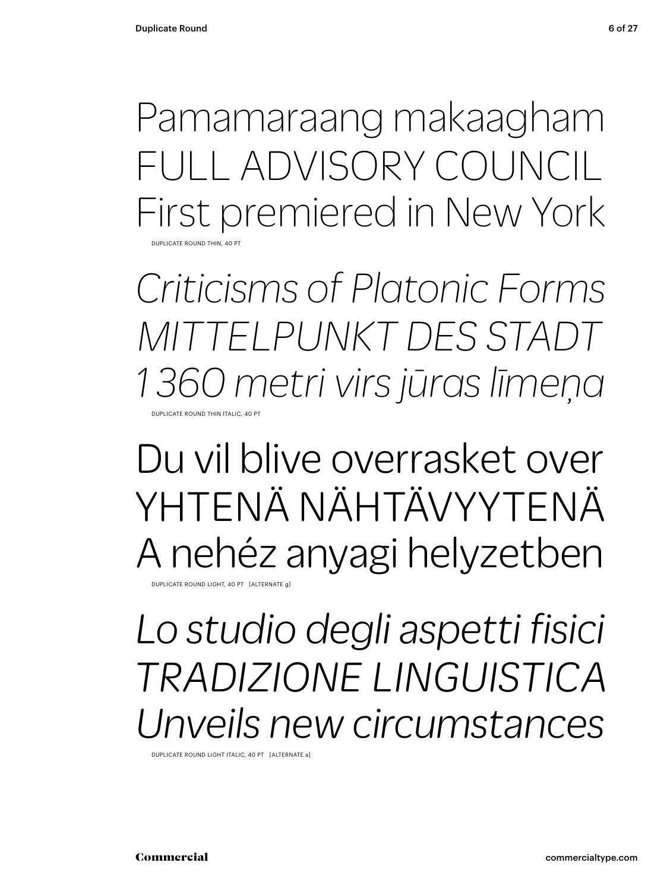Pamamaraang makaagham FULL ADVISORY COUNCIL First premiered in New York DUPLICATE ROUND THIN, 40 PT

*Criticisms of Platonic Forms MITTELPUNKT DES STADT 1 360 metri virs jūras līmeņa* DUPLICATE ROUND THIN ITALIC

Du vil blive overrasket over YHTENÄ NÄHTÄVYYTENÄ A nehéz anyagi helyzetben

DUPLICATE ROUND LIGHT, 40 PT [ALTERNATE g]

### *Lo studio degli aspetti fisici TRADIZIONE LINGUISTICA Unveils new circumstances*

DUPLICATE ROUND LIGHT ITALIC, 40 PT [ALTERNATE a]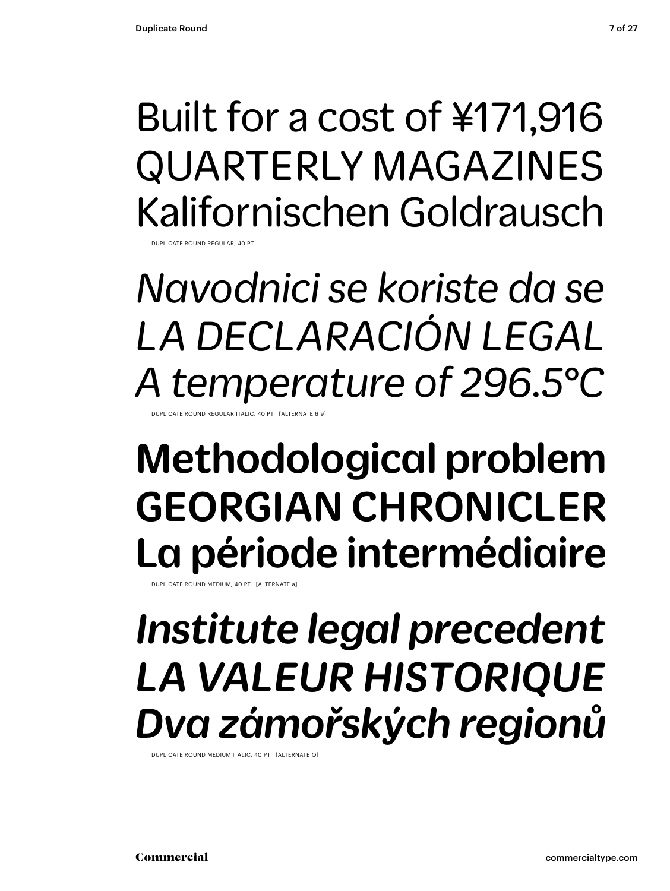### Built for a cost of ¥171,916 QUARTERLY MAGAZINES Kalifornischen Goldrausch

DUPLICATE ROUND REGULAR, 40 PT

*Navodnici se koriste da se LA DECLARACIÓN LEGAL A temperature of 296.5°C*

DUPLICATE ROUND REGULAR ITALIC, 40 PT [ALTERNATE 6 9]

### Methodological problem GEORGIAN CHRONICLER La période intermédiaire

DUPLICATE ROUND MEDIUM, 40 PT [ALTERNATE a]

### *Institute legal precedent LA VALEUR HISTORIQUE Dva zámořských regionů*

DUPLICATE ROUND MEDIUM ITALIC, 40 PT [ALTERNATE Q]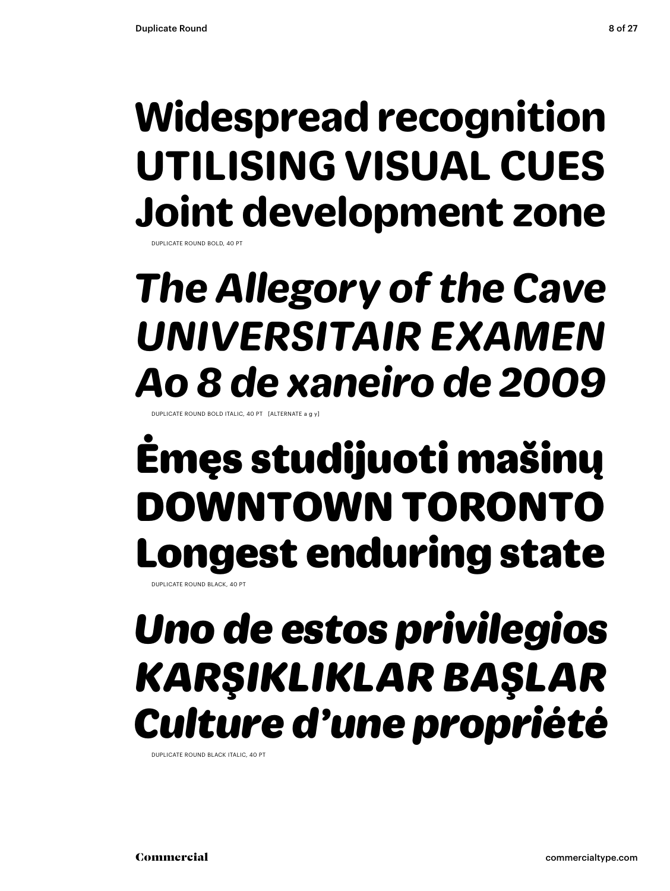### **Widespread recognition UTILISING VISUAL CUES Joint development zone**

DUPLICATE ROUND BOLD, 40 PT

### *The Allegory of the Cave UNIVERSITAIR EXAMEN Ao 8 de xaneiro de 2009*

DUPLICATE ROUND BOLD ITALIC, 40 PT. [ALTERNATE

### Ėmęs studijuoti mašinų DOWNTOWN TORONTO Longest enduring state

DUPLICATE ROUND BLACK, 40 PT

### *Uno de estos privilegios KARŞIKLIKLAR BAŞLAR Culture d'une propriété*

DUPLICATE ROUND BLACK ITALIC, 40 PT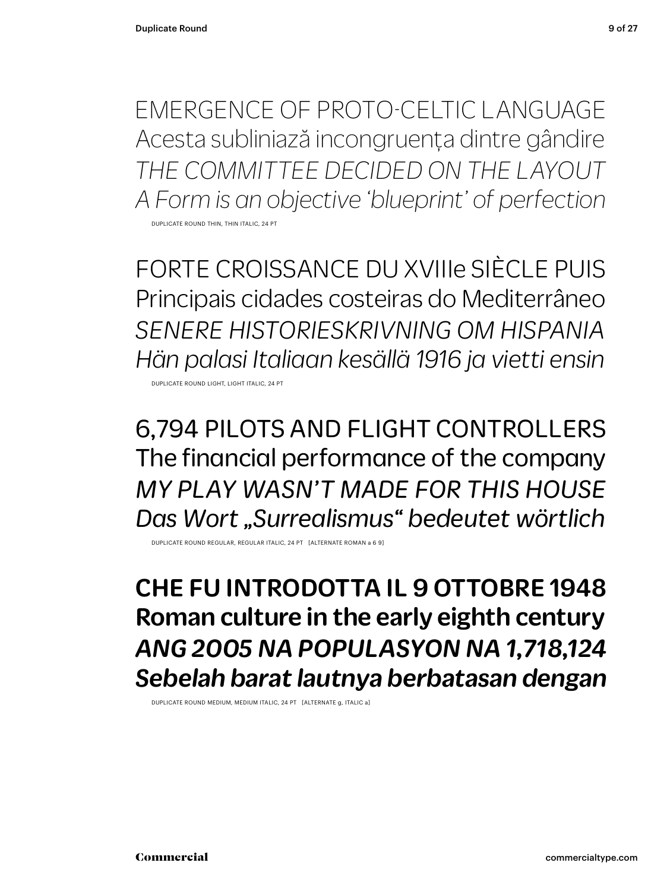EMERGENCE OF PROTO-CELTIC LANGUAGE Acesta subliniază incongruența dintre gândire *THE COMMITTEE DECIDED ON THE LAYOUT A Form is an objective 'blueprint' of perfection*

DUPLICATE ROUND THIN, THIN ITALIC, 24 PT

FORTE CROISSANCE DU XVIIIe SIÈCLE PUIS Principais cidades costeiras do Mediterrâneo *SENERE HISTORIESKRIVNING OM HISPANIA Hän palasi Italiaan kesällä 1916 ja vietti ensin*

DUPLICATE ROUND LIGHT, LIGHT ITALIC, 24 PT

6,794 PILOTS AND FLIGHT CONTROLLERS The financial performance of the company *MY PLAY WASN'T MADE FOR THIS HOUSE Das Wort "Surrealismus" bedeutet wörtlich*

DUPLICATE ROUND REGULAR, REGULAR ITALIC, 24 PT [ALTERNATE ROMAN a 6 9]

CHE FU INTRODOTTA IL 9 OTTOBRE 1948 Roman culture in the early eighth century *ANG 2005 NA POPULASYON NA 1,718,124 Sebelah barat lautnya berbatasan dengan*

DUPLICATE ROUND MEDIUM, MEDIUM ITALIC, 24 PT [ALTERNATE g, ITALIC a]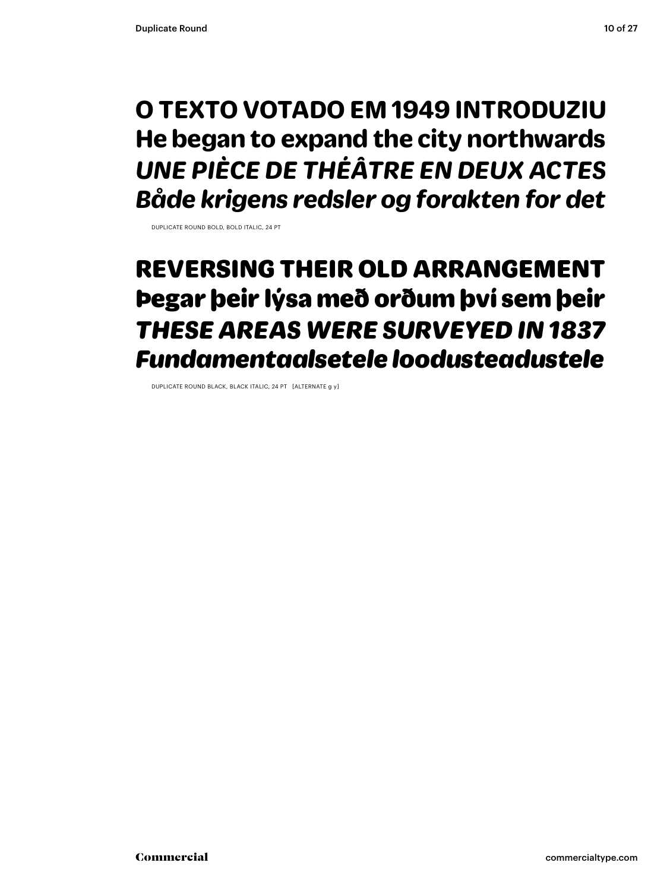### **O TEXTO VOTADO EM 1949 INTRODUZIU He began to expand the city northwards** *UNE PIÈCE DE THÉÂTRE EN DEUX ACTES Både krigens redsler og forakten for det*

DUPLICATE ROUND BOLD, BOLD ITALIC, 24 PT

### REVERSING THEIR OLD ARRANGEMENT Þegar þeir lýsa með orðum því sem þeir *THESE AREAS WERE SURVEYED IN 1837 Fundamentaalsetele loodusteadustele*

DUPLICATE ROUND BLACK, BLACK ITALIC, 24 PT [ALTERNATE g y]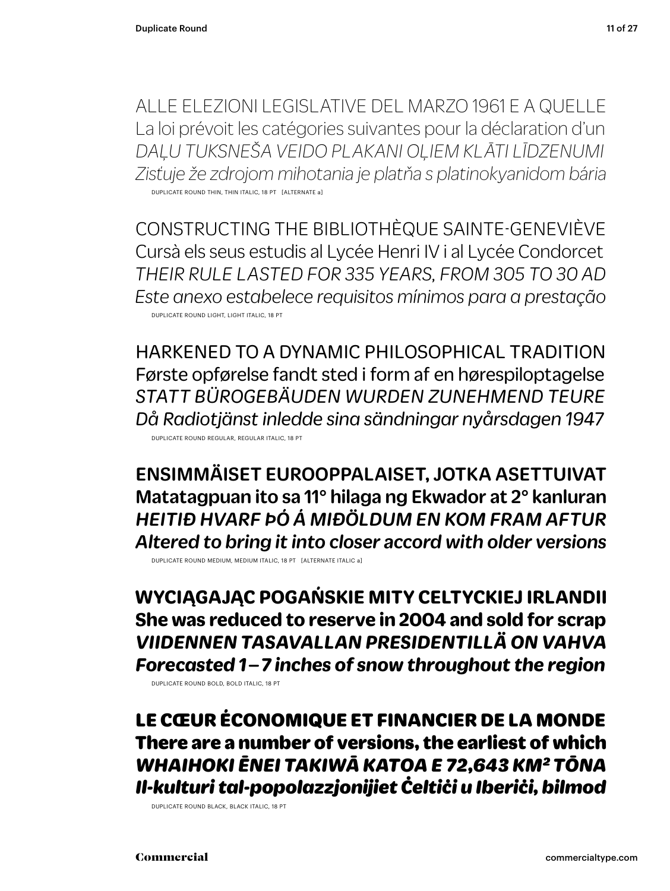ALLE ELEZIONI LEGISLATIVE DEL MARZO 1961 E A QUELLE La loi prévoit les catégories suivantes pour la déclaration d'un *DAĻU TUKSNEŠA VEIDO PLAKANI OĻIEM KLĀTI LĪDZENUMI Zisťuje že zdrojom mihotania je platňa s platinokyanidom bária* DUPLICATE ROUND THIN, THIN ITALIC, 18 PT [ALTERNATE a]

CONSTRUCTING THE BIBLIOTHÈQUE SAINTE-GENEVIÈVE Cursà els seus estudis al Lycée Henri IV i al Lycée Condorcet *THEIR RULE LASTED FOR 335 YEARS, FROM 305 TO 30 AD Este anexo estabelece requisitos mínimos para a prestação* DUPLICATE ROUND LIGHT, LIGHT ITALIC, 18 PT

HARKENED TO A DYNAMIC PHILOSOPHICAL TRADITION Første opførelse fandt sted i form af en hørespiloptagelse *STATT BÜROGEBÄUDEN WURDEN ZUNEHMEND TEURE Då Radiotjänst inledde sina sändningar nyårsdagen 1947* DUPLICATE ROUND REGULAR, REGULAR ITALIC, 18 PT

ENSIMMÄISET EUROOPPALAISET, JOTKA ASETTUIVAT Matatagpuan ito sa 11° hilaga ng Ekwador at 2° kanluran *HEITIÐ HVARF ÞÓ Á MIÐÖLDUM EN KOM FRAM AFTUR Altered to bring it into closer accord with older versions*

DUPLICATE ROUND MEDIUM, MEDIUM ITALIC, 18 PT [ALTERNATE ITALIC a]

**WYCIĄGAJĄC POGAŃSKIE MITY CELTYCKIEJ IRLANDII She was reduced to reserve in 2004 and sold for scrap** *VIIDENNEN TASAVALLAN PRESIDENTILLÄ ON VAHVA Forecasted 1 – 7 inches of snow throughout the region*

DUPLICATE ROUND BOLD, BOLD ITALIC, 18 PT

LE CŒUR ÉCONOMIQUE ET FINANCIER DE LA MONDE There are a number of versions, the earliest of which *WHAIHOKI ĒNEI TAKIWĀ KATOA E 72,643 KM2 TŌNA Il-kulturi tal-popolazzjonijiet Ċeltiċi u Iberiċi, bilmod*

DUPLICATE ROUND BLACK, BLACK ITALIC, 18 PT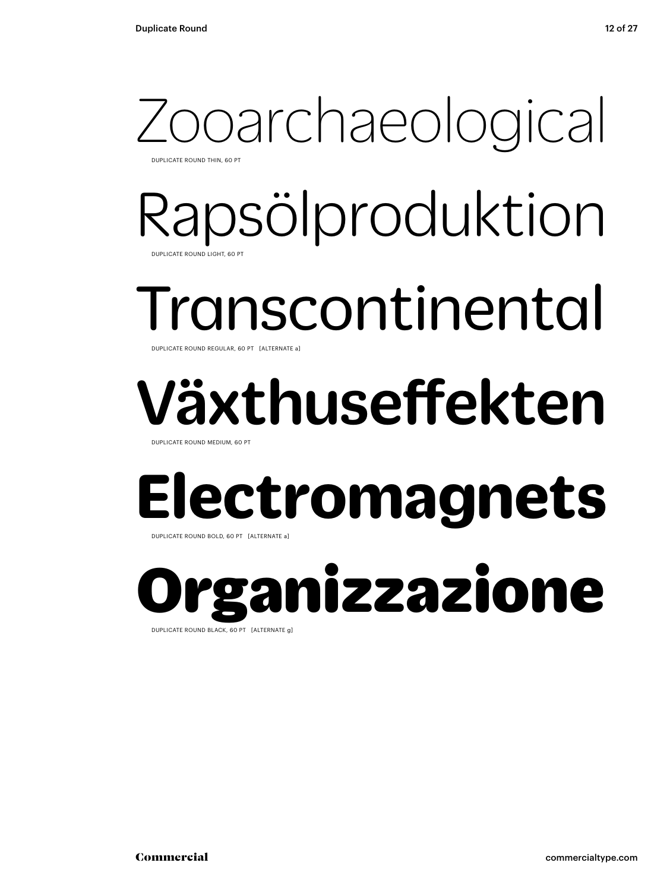### Zooarchaeological DUPLICATE ROUND THIN, 60 PT

Rapsölproduktion DUPLICATE ROUND LIGHT, 60 PT

### Transcontinental DUPLICATE ROUND REGULAR, 60 PT [ALTERNATE a]

## Växthuseffekten

DUPLICATE ROUND MEDIUM, 60 PT

## **Electromagnets**

DUPLICATE ROUND BOLD, 60 PT [ALTERNATE a]

ganizzazione DUPLICATE ROUND BLACK, 60 PT [ALTERNATE g]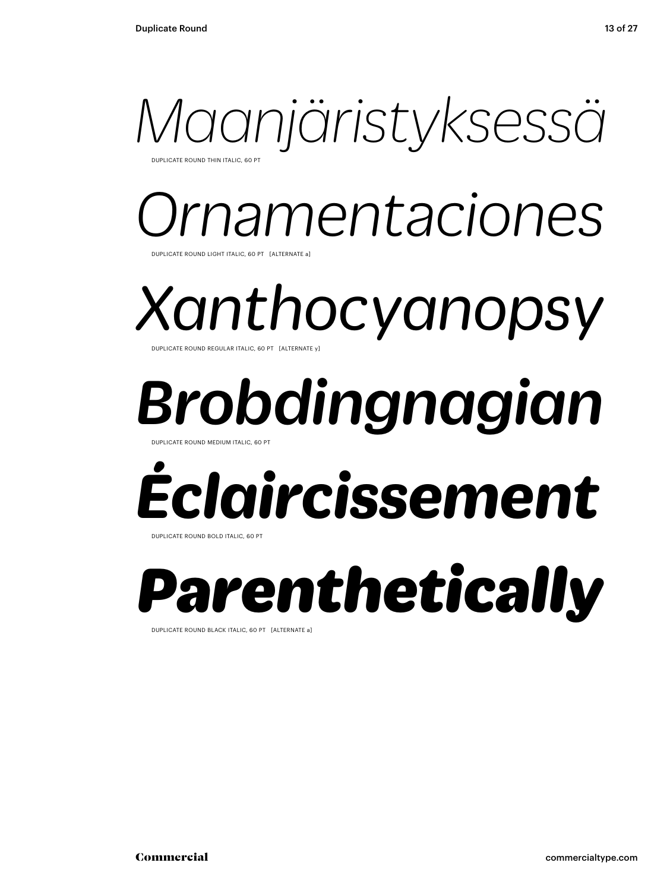

**UPLICATE ROUND THIN ITALIC, 60 PT** 

### *Ornamentaciones* DUPLICATE ROUND LIGHT ITALIC, 60 PT [ALTERNATE a]

*Xanthocyanopsy* DUPLICATE ROUND REGULAR ITALIC, 60 PT [ALTERNATE y]

## *Brobdingnagian*

DUPLICATE ROUND MEDIUM ITALIC, 60 PT

# *Éclaircissement*

DUPLICATE ROUND BOLD ITALIC, 60 PT

## *Parenthetically*

DUPLICATE ROUND BLACK ITALIC, 60 PT [ALTERNATE a]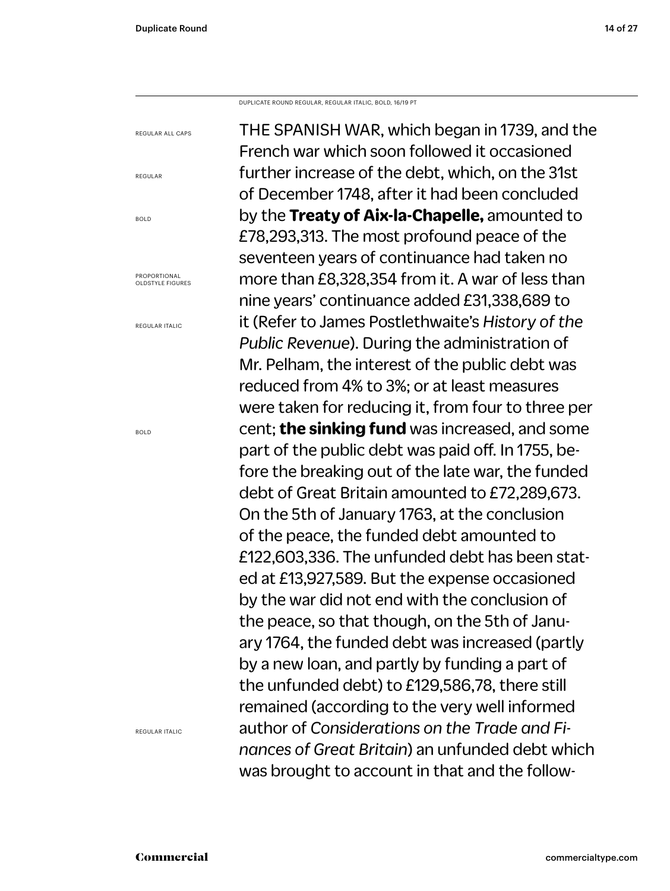DUPLICATE ROUND REGULAR, REGULAR ITALIC, BOLD, 16/19 PT

THE SPANISH WAR, which began in 1739, and the French war which soon followed it occasioned further increase of the debt, which, on the 31st of December 1748, after it had been concluded by the **Treaty of Aix-la-Chapelle,** amounted to £78,293,313. The most profound peace of the seventeen years of continuance had taken no more than £8,328,354 from it. A war of less than nine years' continuance added £31,338,689 to it (Refer to James Postlethwaite's *History of the Public Revenue*). During the administration of Mr. Pelham, the interest of the public debt was reduced from 4% to 3%; or at least measures were taken for reducing it, from four to three per cent; **the sinking fund** was increased, and some part of the public debt was paid off. In 1755, before the breaking out of the late war, the funded debt of Great Britain amounted to £72,289,673. On the 5th of January 1763, at the conclusion of the peace, the funded debt amounted to £122,603,336. The unfunded debt has been stated at £13,927,589. But the expense occasioned by the war did not end with the conclusion of the peace, so that though, on the 5th of January 1764, the funded debt was increased (partly by a new loan, and partly by funding a part of the unfunded debt) to £129,586,78, there still remained (according to the very well informed author of *Considerations on the Trade and Finances of Great Britain*) an unfunded debt which was brought to account in that and the follow-REGULAR ALL CAPS

PROPORTIONAL OLDSTYLE FIGURES

REGULAR ITALIC

REGULAR

BOLD

BOLD

REGULAR ITALIC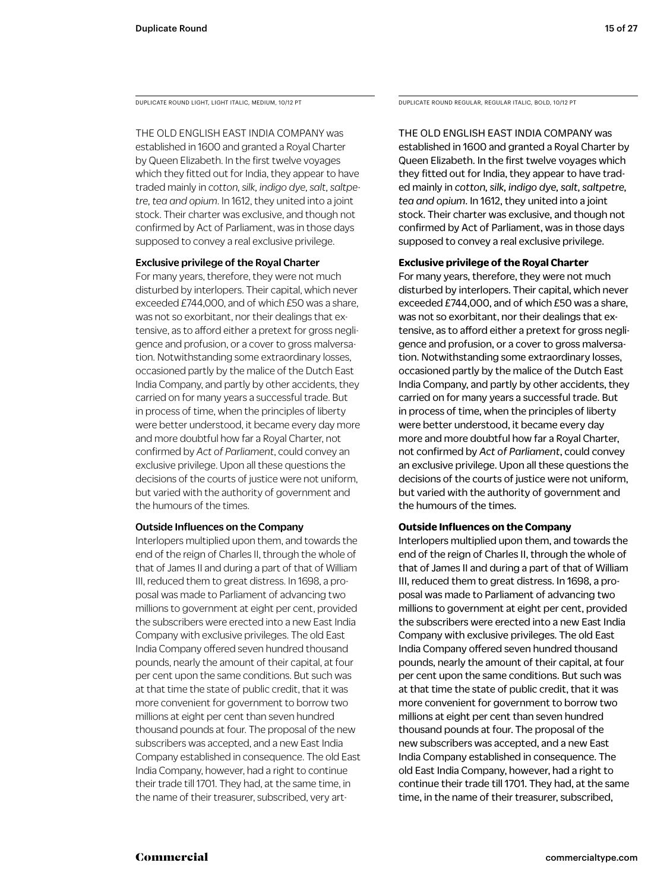THE OLD ENGLISH EAST INDIA COMPANY was

established in 1600 and granted a Royal Charter by Queen Elizabeth. In the first twelve voyages which they fitted out for India, they appear to have traded mainly in *cotton, silk, indigo dye, salt, saltpetre, tea and opium*. In 1612, they united into a joint stock. Their charter was exclusive, and though not confirmed by Act of Parliament, was in those days supposed to convey a real exclusive privilege.

### Exclusive privilege of the Royal Charter

For many years, therefore, they were not much disturbed by interlopers. Their capital, which never exceeded £744,000, and of which £50 was a share, was not so exorbitant, nor their dealings that extensive, as to afford either a pretext for gross negligence and profusion, or a cover to gross malversation. Notwithstanding some extraordinary losses, occasioned partly by the malice of the Dutch East India Company, and partly by other accidents, they carried on for many years a successful trade. But in process of time, when the principles of liberty were better understood, it became every day more and more doubtful how far a Royal Charter, not confirmed by *Act of Parliament*, could convey an exclusive privilege. Upon all these questions the decisions of the courts of justice were not uniform, but varied with the authority of government and the humours of the times.

### Outside Influences on the Company

Interlopers multiplied upon them, and towards the end of the reign of Charles II, through the whole of that of James II and during a part of that of William III, reduced them to great distress. In 1698, a proposal was made to Parliament of advancing two millions to government at eight per cent, provided the subscribers were erected into a new East India Company with exclusive privileges. The old East India Company offered seven hundred thousand pounds, nearly the amount of their capital, at four per cent upon the same conditions. But such was at that time the state of public credit, that it was more convenient for government to borrow two millions at eight per cent than seven hundred thousand pounds at four. The proposal of the new subscribers was accepted, and a new East India Company established in consequence. The old East India Company, however, had a right to continue their trade till 1701. They had, at the same time, in the name of their treasurer, subscribed, very art-

DUPLICATE ROUND LIGHT, LIGHT ITALIC, MEDIUM, 10/12 PT DUPLICATE ROUND REGULAR, REGULAR ITALIC, BOLD, 10/12 PT

THE OLD ENGLISH EAST INDIA COMPANY was established in 1600 and granted a Royal Charter by Queen Elizabeth. In the first twelve voyages which they fitted out for India, they appear to have traded mainly in *cotton, silk, indigo dye, salt, saltpetre, tea and opium*. In 1612, they united into a joint stock. Their charter was exclusive, and though not confirmed by Act of Parliament, was in those days supposed to convey a real exclusive privilege.

### **Exclusive privilege of the Royal Charter**

For many years, therefore, they were not much disturbed by interlopers. Their capital, which never exceeded £744,000, and of which £50 was a share, was not so exorbitant, nor their dealings that extensive, as to afford either a pretext for gross negligence and profusion, or a cover to gross malversation. Notwithstanding some extraordinary losses, occasioned partly by the malice of the Dutch East India Company, and partly by other accidents, they carried on for many years a successful trade. But in process of time, when the principles of liberty were better understood, it became every day more and more doubtful how far a Royal Charter, not confirmed by *Act of Parliament*, could convey an exclusive privilege. Upon all these questions the decisions of the courts of justice were not uniform, but varied with the authority of government and the humours of the times.

### **Outside Influences on the Company**

Interlopers multiplied upon them, and towards the end of the reign of Charles II, through the whole of that of James II and during a part of that of William III, reduced them to great distress. In 1698, a proposal was made to Parliament of advancing two millions to government at eight per cent, provided the subscribers were erected into a new East India Company with exclusive privileges. The old East India Company offered seven hundred thousand pounds, nearly the amount of their capital, at four per cent upon the same conditions. But such was at that time the state of public credit, that it was more convenient for government to borrow two millions at eight per cent than seven hundred thousand pounds at four. The proposal of the new subscribers was accepted, and a new East India Company established in consequence. The old East India Company, however, had a right to continue their trade till 1701. They had, at the same time, in the name of their treasurer, subscribed,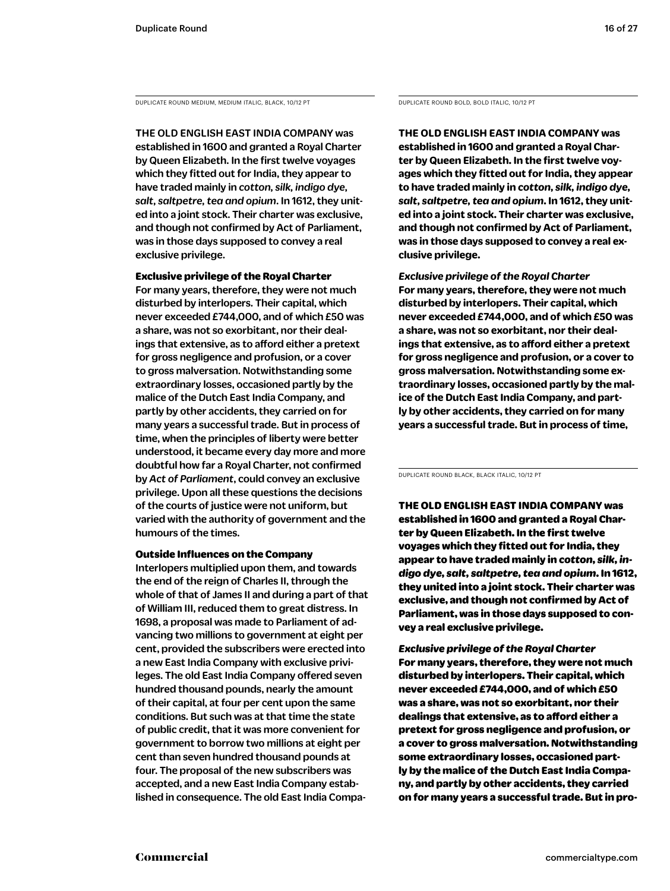DUPLICATE ROUND MEDIUM, MEDIUM ITALIC, BLACK, 10/12 PT DUPLICATE ROUND BOLD, BOLD ITALIC, 10/12 PT

THE OLD ENGLISH EAST INDIA COMPANY was established in 1600 and granted a Royal Charter by Queen Elizabeth. In the first twelve voyages which they fitted out for India, they appear to have traded mainly in *cotton, silk, indigo dye, salt, saltpetre, tea and opium*. In 1612, they united into a joint stock. Their charter was exclusive, and though not confirmed by Act of Parliament, was in those days supposed to convey a real exclusive privilege.

Exclusive privilege of the Royal Charter For many years, therefore, they were not much disturbed by interlopers. Their capital, which never exceeded £744,000, and of which £50 was a share, was not so exorbitant, nor their dealings that extensive, as to afford either a pretext for gross negligence and profusion, or a cover to gross malversation. Notwithstanding some extraordinary losses, occasioned partly by the malice of the Dutch East India Company, and partly by other accidents, they carried on for many years a successful trade. But in process of time, when the principles of liberty were better understood, it became every day more and more doubtful how far a Royal Charter, not confirmed by *Act of Parliament*, could convey an exclusive privilege. Upon all these questions the decisions of the courts of justice were not uniform, but varied with the authority of government and the humours of the times.

### Outside Influences on the Company

Interlopers multiplied upon them, and towards the end of the reign of Charles II, through the whole of that of James II and during a part of that of William III, reduced them to great distress. In 1698, a proposal was made to Parliament of advancing two millions to government at eight per cent, provided the subscribers were erected into a new East India Company with exclusive privileges. The old East India Company offered seven hundred thousand pounds, nearly the amount of their capital, at four per cent upon the same conditions. But such was at that time the state of public credit, that it was more convenient for government to borrow two millions at eight per cent than seven hundred thousand pounds at four. The proposal of the new subscribers was accepted, and a new East India Company established in consequence. The old East India Compa-

**THE OLD ENGLISH EAST INDIA COMPANY was established in 1600 and granted a Royal Charter by Queen Elizabeth. In the first twelve voyages which they fitted out for India, they appear to have traded mainly in** *cotton, silk, indigo dye, salt, saltpetre, tea and opium***. In 1612, they united into a joint stock. Their charter was exclusive, and though not confirmed by Act of Parliament, was in those days supposed to convey a real exclusive privilege.** 

*Exclusive privilege of the Royal Charter* **For many years, therefore, they were not much disturbed by interlopers. Their capital, which never exceeded £744,000, and of which £50 was a share, was not so exorbitant, nor their dealings that extensive, as to afford either a pretext for gross negligence and profusion, or a cover to gross malversation. Notwithstanding some extraordinary losses, occasioned partly by the malice of the Dutch East India Company, and partly by other accidents, they carried on for many years a successful trade. But in process of time,** 

DUPLICATE ROUND BLACK, BLACK ITALIC, 10/12 PT

THE OLD ENGLISH EAST INDIA COMPANY was established in 1600 and granted a Royal Charter by Queen Elizabeth. In the first twelve voyages which they fitted out for India, they appear to have traded mainly in *cotton, silk, indigo dye, salt, saltpetre, tea and opium*. In 1612, they united into a joint stock. Their charter was exclusive, and though not confirmed by Act of Parliament, was in those days supposed to convey a real exclusive privilege.

*Exclusive privilege of the Royal Charter* For many years, therefore, they were not much disturbed by interlopers. Their capital, which never exceeded £744,000, and of which £50 was a share, was not so exorbitant, nor their dealings that extensive, as to afford either a pretext for gross negligence and profusion, or a cover to gross malversation. Notwithstanding some extraordinary losses, occasioned partly by the malice of the Dutch East India Company, and partly by other accidents, they carried on for many years a successful trade. But in pro-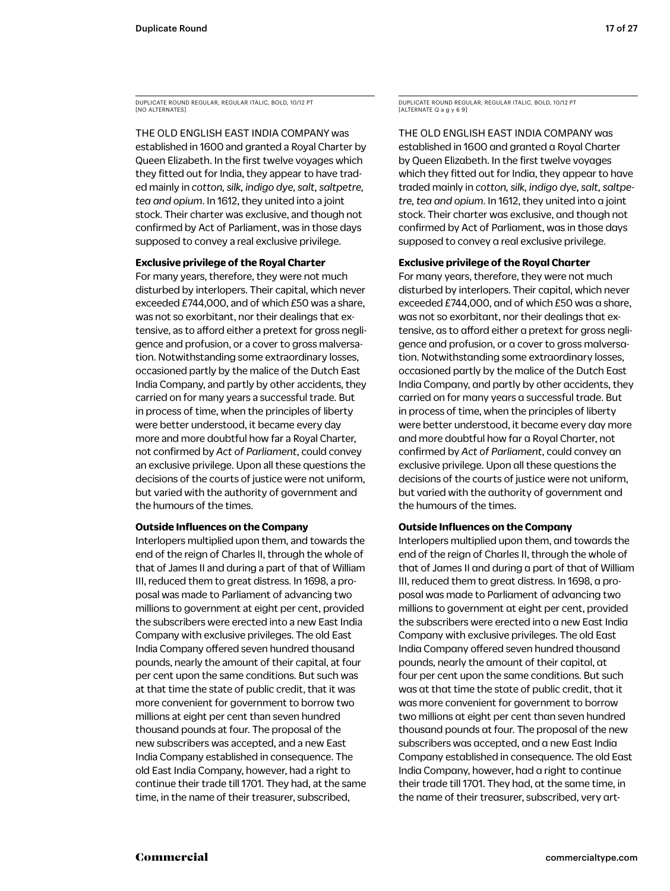THE OLD ENGLISH EAST INDIA COMPANY was established in 1600 and granted a Royal Charter by Queen Elizabeth. In the first twelve voyages which they fitted out for India, they appear to have traded mainly in *cotton, silk, indigo dye, salt, saltpetre, tea and opium*. In 1612, they united into a joint stock. Their charter was exclusive, and though not confirmed by Act of Parliament, was in those days supposed to convey a real exclusive privilege.

### **Exclusive privilege of the Royal Charter**

For many years, therefore, they were not much disturbed by interlopers. Their capital, which never exceeded £744,000, and of which £50 was a share, was not so exorbitant, nor their dealings that extensive, as to afford either a pretext for gross negligence and profusion, or a cover to gross malversation. Notwithstanding some extraordinary losses, occasioned partly by the malice of the Dutch East India Company, and partly by other accidents, they carried on for many years a successful trade. But in process of time, when the principles of liberty were better understood, it became every day more and more doubtful how far a Royal Charter, not confirmed by *Act of Parliament*, could convey an exclusive privilege. Upon all these questions the decisions of the courts of justice were not uniform, but varied with the authority of government and the humours of the times.

### **Outside Influences on the Company**

Interlopers multiplied upon them, and towards the end of the reign of Charles II, through the whole of that of James II and during a part of that of William III, reduced them to great distress. In 1698, a proposal was made to Parliament of advancing two millions to government at eight per cent, provided the subscribers were erected into a new East India Company with exclusive privileges. The old East India Company offered seven hundred thousand pounds, nearly the amount of their capital, at four per cent upon the same conditions. But such was at that time the state of public credit, that it was more convenient for government to borrow two millions at eight per cent than seven hundred thousand pounds at four. The proposal of the new subscribers was accepted, and a new East India Company established in consequence. The old East India Company, however, had a right to continue their trade till 1701. They had, at the same time, in the name of their treasurer, subscribed,

DUPLICATE ROUND REGULAR, REGULAR ITALIC, BOLD, 10/12 PT  $[ALTERNATEQaqy6]$ 

THE OLD ENGLISH EAST INDIA COMPANY was established in 1600 and granted a Royal Charter by Queen Elizabeth. In the first twelve voyages which they fitted out for India, they appear to have traded mainly in *cotton, silk, indigo dye, salt, saltpetre, tea and opium*. In 1612, they united into a joint stock. Their charter was exclusive, and though not confirmed by Act of Parliament, was in those days supposed to convey a real exclusive privilege.

### **Exclusive privilege of the Royal Charter**

For many years, therefore, they were not much disturbed by interlopers. Their capital, which never exceeded £744,000, and of which £50 was a share, was not so exorbitant, nor their dealings that extensive, as to afford either a pretext for gross negligence and profusion, or a cover to gross malversation. Notwithstanding some extraordinary losses, occasioned partly by the malice of the Dutch East India Company, and partly by other accidents, they carried on for many years a successful trade. But in process of time, when the principles of liberty were better understood, it became every day more and more doubtful how far a Royal Charter, not confirmed by *Act of Parliament*, could convey an exclusive privilege. Upon all these questions the decisions of the courts of justice were not uniform, but varied with the authority of government and the humours of the times.

### **Outside Influences on the Company**

Interlopers multiplied upon them, and towards the end of the reign of Charles II, through the whole of that of James II and during a part of that of William III, reduced them to great distress. In 1698, a proposal was made to Parliament of advancing two millions to government at eight per cent, provided the subscribers were erected into a new East India Company with exclusive privileges. The old East India Company offered seven hundred thousand pounds, nearly the amount of their capital, at four per cent upon the same conditions. But such was at that time the state of public credit, that it was more convenient for government to borrow two millions at eight per cent than seven hundred thousand pounds at four. The proposal of the new subscribers was accepted, and a new East India Company established in consequence. The old East India Company, however, had a right to continue their trade till 1701. They had, at the same time, in the name of their treasurer, subscribed, very art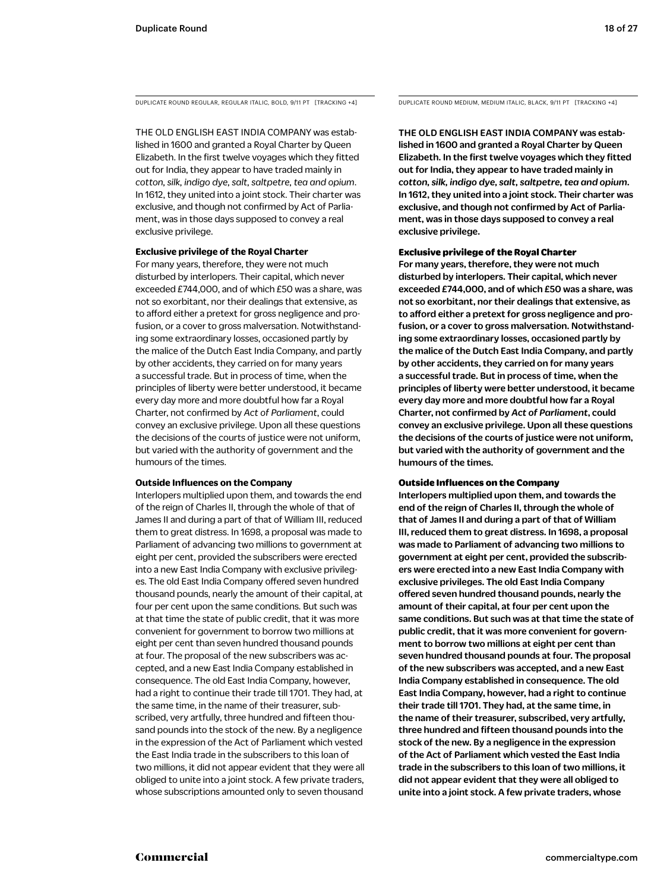DUPLICATE ROUND REGULAR, REGULAR ITALIC, BOLD, 9/11 PT [TRACKING +4] DUPLICATE ROUND MEDIUM, MEDIUM ITALIC, BLACK, 9/11 PT [TRACKING +4]

THE OLD ENGLISH EAST INDIA COMPANY was established in 1600 and granted a Royal Charter by Queen Elizabeth. In the first twelve voyages which they fitted out for India, they appear to have traded mainly in *cotton, silk, indigo dye, salt, saltpetre, tea and opium*. In 1612, they united into a joint stock. Their charter was exclusive, and though not confirmed by Act of Parliament, was in those days supposed to convey a real exclusive privilege.

### **Exclusive privilege of the Royal Charter**

For many years, therefore, they were not much disturbed by interlopers. Their capital, which never exceeded £744,000, and of which £50 was a share, was not so exorbitant, nor their dealings that extensive, as to afford either a pretext for gross negligence and profusion, or a cover to gross malversation. Notwithstanding some extraordinary losses, occasioned partly by the malice of the Dutch East India Company, and partly by other accidents, they carried on for many years a successful trade. But in process of time, when the principles of liberty were better understood, it became every day more and more doubtful how far a Royal Charter, not confirmed by *Act of Parliament*, could convey an exclusive privilege. Upon all these questions the decisions of the courts of justice were not uniform, but varied with the authority of government and the humours of the times.

#### **Outside Influences on the Company**

Interlopers multiplied upon them, and towards the end of the reign of Charles II, through the whole of that of James II and during a part of that of William III, reduced them to great distress. In 1698, a proposal was made to Parliament of advancing two millions to government at eight per cent, provided the subscribers were erected into a new East India Company with exclusive privileges. The old East India Company offered seven hundred thousand pounds, nearly the amount of their capital, at four per cent upon the same conditions. But such was at that time the state of public credit, that it was more convenient for government to borrow two millions at eight per cent than seven hundred thousand pounds at four. The proposal of the new subscribers was accepted, and a new East India Company established in consequence. The old East India Company, however, had a right to continue their trade till 1701. They had, at the same time, in the name of their treasurer, subscribed, very artfully, three hundred and fifteen thousand pounds into the stock of the new. By a negligence in the expression of the Act of Parliament which vested the East India trade in the subscribers to this loan of two millions, it did not appear evident that they were all obliged to unite into a joint stock. A few private traders, whose subscriptions amounted only to seven thousand

THE OLD ENGLISH EAST INDIA COMPANY was established in 1600 and granted a Royal Charter by Queen Elizabeth. In the first twelve voyages which they fitted out for India, they appear to have traded mainly in *cotton, silk, indigo dye, salt, saltpetre, tea and opium*. In 1612, they united into a joint stock. Their charter was exclusive, and though not confirmed by Act of Parliament, was in those days supposed to convey a real exclusive privilege.

#### Exclusive privilege of the Royal Charter

For many years, therefore, they were not much disturbed by interlopers. Their capital, which never exceeded £744,000, and of which £50 was a share, was not so exorbitant, nor their dealings that extensive, as to afford either a pretext for gross negligence and profusion, or a cover to gross malversation. Notwithstanding some extraordinary losses, occasioned partly by the malice of the Dutch East India Company, and partly by other accidents, they carried on for many years a successful trade. But in process of time, when the principles of liberty were better understood, it became every day more and more doubtful how far a Royal Charter, not confirmed by *Act of Parliament*, could convey an exclusive privilege. Upon all these questions the decisions of the courts of justice were not uniform, but varied with the authority of government and the humours of the times.

#### Outside Influences on the Company

Interlopers multiplied upon them, and towards the end of the reign of Charles II, through the whole of that of James II and during a part of that of William III, reduced them to great distress. In 1698, a proposal was made to Parliament of advancing two millions to government at eight per cent, provided the subscribers were erected into a new East India Company with exclusive privileges. The old East India Company offered seven hundred thousand pounds, nearly the amount of their capital, at four per cent upon the same conditions. But such was at that time the state of public credit, that it was more convenient for government to borrow two millions at eight per cent than seven hundred thousand pounds at four. The proposal of the new subscribers was accepted, and a new East India Company established in consequence. The old East India Company, however, had a right to continue their trade till 1701. They had, at the same time, in the name of their treasurer, subscribed, very artfully, three hundred and fifteen thousand pounds into the stock of the new. By a negligence in the expression of the Act of Parliament which vested the East India trade in the subscribers to this loan of two millions, it did not appear evident that they were all obliged to unite into a joint stock. A few private traders, whose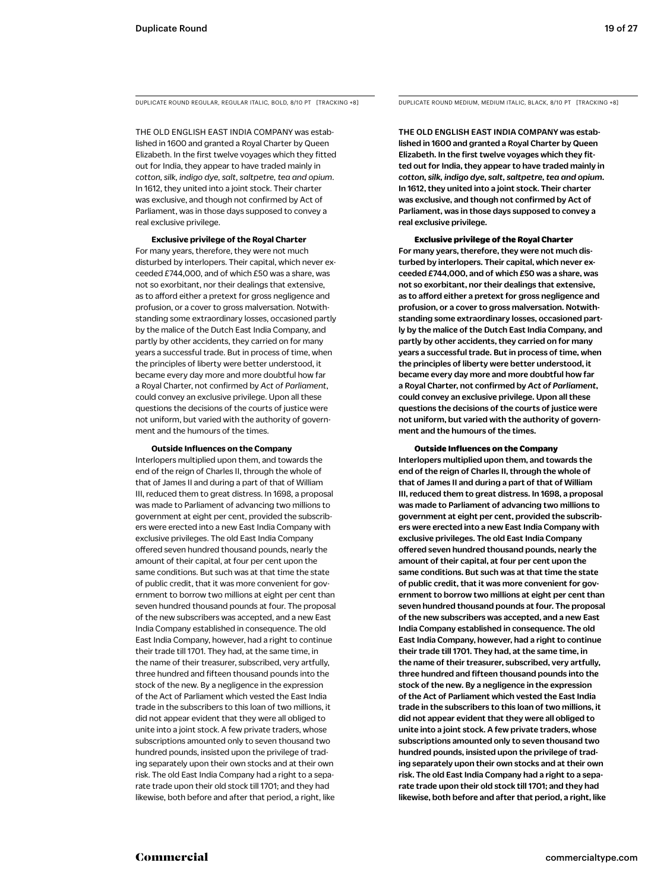THE OLD ENGLISH EAST INDIA COMPANY was established in 1600 and granted a Royal Charter by Queen Elizabeth. In the first twelve voyages which they fitted out for India, they appear to have traded mainly in *cotton, silk, indigo dye, salt, saltpetre, tea and opium*. In 1612, they united into a joint stock. Their charter was exclusive, and though not confirmed by Act of Parliament, was in those days supposed to convey a real exclusive privilege.

**Exclusive privilege of the Royal Charter** For many years, therefore, they were not much disturbed by interlopers. Their capital, which never exceeded £744,000, and of which £50 was a share, was not so exorbitant, nor their dealings that extensive, as to afford either a pretext for gross negligence and profusion, or a cover to gross malversation. Notwithstanding some extraordinary losses, occasioned partly by the malice of the Dutch East India Company, and partly by other accidents, they carried on for many years a successful trade. But in process of time, when the principles of liberty were better understood, it became every day more and more doubtful how far a Royal Charter, not confirmed by *Act of Parliament*, could convey an exclusive privilege. Upon all these questions the decisions of the courts of justice were not uniform, but varied with the authority of government and the humours of the times.

#### **Outside Influences on the Company**

Interlopers multiplied upon them, and towards the end of the reign of Charles II, through the whole of that of James II and during a part of that of William III, reduced them to great distress. In 1698, a proposal was made to Parliament of advancing two millions to government at eight per cent, provided the subscribers were erected into a new East India Company with exclusive privileges. The old East India Company offered seven hundred thousand pounds, nearly the amount of their capital, at four per cent upon the same conditions. But such was at that time the state of public credit, that it was more convenient for government to borrow two millions at eight per cent than seven hundred thousand pounds at four. The proposal of the new subscribers was accepted, and a new East India Company established in consequence. The old East India Company, however, had a right to continue their trade till 1701. They had, at the same time, in the name of their treasurer, subscribed, very artfully, three hundred and fifteen thousand pounds into the stock of the new. By a negligence in the expression of the Act of Parliament which vested the East India trade in the subscribers to this loan of two millions, it did not appear evident that they were all obliged to unite into a joint stock. A few private traders, whose subscriptions amounted only to seven thousand two hundred pounds, insisted upon the privilege of trading separately upon their own stocks and at their own risk. The old East India Company had a right to a separate trade upon their old stock till 1701; and they had likewise, both before and after that period, a right, like

DUPLICATE ROUND REGULAR, REGULAR ITALIC, BOLD, 8/10 PT [TRACKING +8] DUPLICATE ROUND MEDIUM, MEDIUM ITALIC, BLACK, 8/10 PT [TRACKING +8]

THE OLD ENGLISH EAST INDIA COMPANY was established in 1600 and granted a Royal Charter by Queen Elizabeth. In the first twelve voyages which they fitted out for India, they appear to have traded mainly in *cotton, silk, indigo dye, salt, saltpetre, tea and opium*. In 1612, they united into a joint stock. Their charter was exclusive, and though not confirmed by Act of Parliament, was in those days supposed to convey a real exclusive privilege.

#### Exclusive privilege of the Royal Charter

For many years, therefore, they were not much disturbed by interlopers. Their capital, which never exceeded £744,000, and of which £50 was a share, was not so exorbitant, nor their dealings that extensive, as to afford either a pretext for gross negligence and profusion, or a cover to gross malversation. Notwithstanding some extraordinary losses, occasioned partly by the malice of the Dutch East India Company, and partly by other accidents, they carried on for many years a successful trade. But in process of time, when the principles of liberty were better understood, it became every day more and more doubtful how far a Royal Charter, not confirmed by *Act of Parliament*, could convey an exclusive privilege. Upon all these questions the decisions of the courts of justice were not uniform, but varied with the authority of government and the humours of the times.

#### Outside Influences on the Company

Interlopers multiplied upon them, and towards the end of the reign of Charles II, through the whole of that of James II and during a part of that of William III, reduced them to great distress. In 1698, a proposal was made to Parliament of advancing two millions to government at eight per cent, provided the subscribers were erected into a new East India Company with exclusive privileges. The old East India Company offered seven hundred thousand pounds, nearly the amount of their capital, at four per cent upon the same conditions. But such was at that time the state of public credit, that it was more convenient for government to borrow two millions at eight per cent than seven hundred thousand pounds at four. The proposal of the new subscribers was accepted, and a new East India Company established in consequence. The old East India Company, however, had a right to continue their trade till 1701. They had, at the same time, in the name of their treasurer, subscribed, very artfully, three hundred and fifteen thousand pounds into the stock of the new. By a negligence in the expression of the Act of Parliament which vested the East India trade in the subscribers to this loan of two millions, it did not appear evident that they were all obliged to unite into a joint stock. A few private traders, whose subscriptions amounted only to seven thousand two hundred pounds, insisted upon the privilege of trading separately upon their own stocks and at their own risk. The old East India Company had a right to a separate trade upon their old stock till 1701; and they had likewise, both before and after that period, a right, like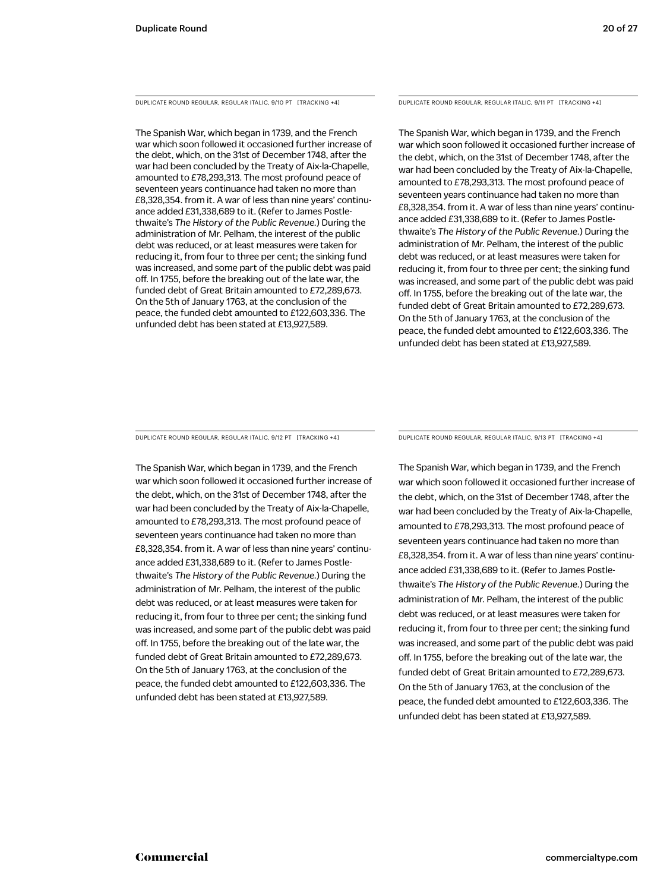DUPLICATE ROUND REGULAR, REGULAR ITALIC, 9/10 PT [TRACKING +4]

The Spanish War, which began in 1739, and the French war which soon followed it occasioned further increase of the debt, which, on the 31st of December 1748, after the war had been concluded by the Treaty of Aix-la-Chapelle, amounted to £78,293,313. The most profound peace of seventeen years continuance had taken no more than £8,328,354. from it. A war of less than nine years' continuance added £31,338,689 to it. (Refer to James Postlethwaite's *The History of the Public Revenue.*) During the administration of Mr. Pelham, the interest of the public debt was reduced, or at least measures were taken for reducing it, from four to three per cent; the sinking fund was increased, and some part of the public debt was paid off. In 1755, before the breaking out of the late war, the funded debt of Great Britain amounted to £72,289,673. On the 5th of January 1763, at the conclusion of the peace, the funded debt amounted to £122,603,336. The unfunded debt has been stated at £13,927,589.

DUPLICATE ROUND REGULAR, REGULAR ITALIC, 9/11 PT [TRACKING +4]

The Spanish War, which began in 1739, and the French war which soon followed it occasioned further increase of the debt, which, on the 31st of December 1748, after the war had been concluded by the Treaty of Aix-la-Chapelle, amounted to £78,293,313. The most profound peace of seventeen years continuance had taken no more than £8,328,354. from it. A war of less than nine years' continuance added £31,338,689 to it. (Refer to James Postlethwaite's *The History of the Public Revenue.*) During the administration of Mr. Pelham, the interest of the public debt was reduced, or at least measures were taken for reducing it, from four to three per cent; the sinking fund was increased, and some part of the public debt was paid off. In 1755, before the breaking out of the late war, the funded debt of Great Britain amounted to £72,289,673. On the 5th of January 1763, at the conclusion of the peace, the funded debt amounted to £122,603,336. The unfunded debt has been stated at £13,927,589.

DUPLICATE ROUND REGULAR, REGULAR ITALIC, 9/12 PT [TRACKING +4]

The Spanish War, which began in 1739, and the French war which soon followed it occasioned further increase of the debt, which, on the 31st of December 1748, after the war had been concluded by the Treaty of Aix-la-Chapelle, amounted to £78,293,313. The most profound peace of seventeen years continuance had taken no more than £8,328,354. from it. A war of less than nine years' continuance added £31,338,689 to it. (Refer to James Postlethwaite's *The History of the Public Revenue.*) During the administration of Mr. Pelham, the interest of the public debt was reduced, or at least measures were taken for reducing it, from four to three per cent; the sinking fund was increased, and some part of the public debt was paid off. In 1755, before the breaking out of the late war, the funded debt of Great Britain amounted to £72,289,673. On the 5th of January 1763, at the conclusion of the peace, the funded debt amounted to £122,603,336. The unfunded debt has been stated at £13,927,589.

DUPLICATE ROUND REGULAR, REGULAR ITALIC, 9/13 PT [TRACKING +4]

The Spanish War, which began in 1739, and the French war which soon followed it occasioned further increase of the debt, which, on the 31st of December 1748, after the war had been concluded by the Treaty of Aix-la-Chapelle, amounted to £78,293,313. The most profound peace of seventeen years continuance had taken no more than £8,328,354. from it. A war of less than nine years' continuance added £31,338,689 to it. (Refer to James Postlethwaite's *The History of the Public Revenue.*) During the administration of Mr. Pelham, the interest of the public debt was reduced, or at least measures were taken for reducing it, from four to three per cent; the sinking fund was increased, and some part of the public debt was paid off. In 1755, before the breaking out of the late war, the funded debt of Great Britain amounted to £72,289,673. On the 5th of January 1763, at the conclusion of the peace, the funded debt amounted to £122,603,336. The unfunded debt has been stated at £13,927,589.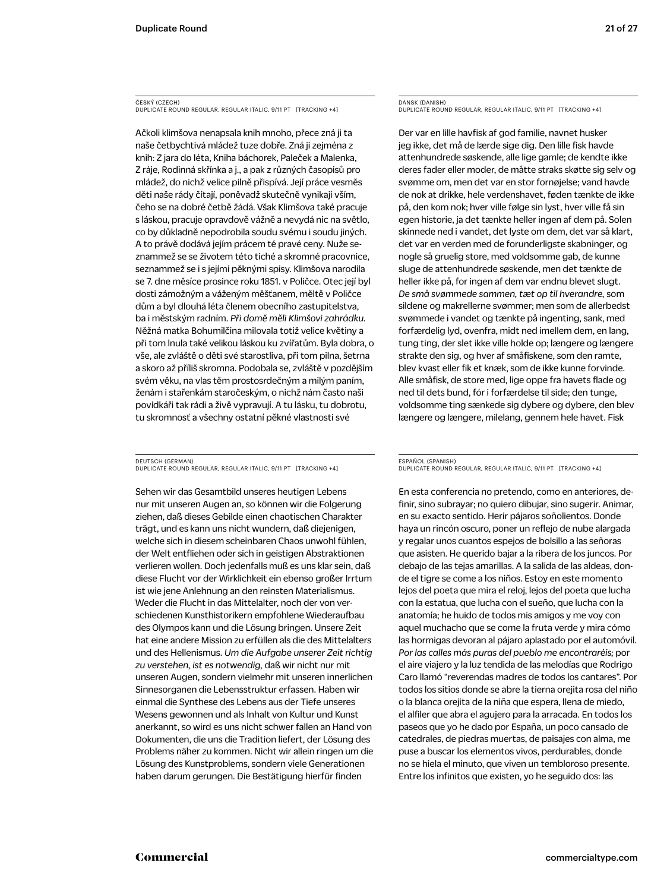### ČESKÝ (CZECH) DUPLICATE ROUND REGULAR, REGULAR ITALIC, 9/11 PT [TRACKING +4]

Ačkoli klimšova nenapsala knih mnoho, přece zná ji ta naše četbychtivá mládež tuze dobře. Zná ji zejména z knih: Z jara do léta, Kniha báchorek, Paleček a Malenka, Z ráje, Rodinná skřínka a j., a pak z různých časopisů pro mládež, do nichž velice pilně přispívá. Její práce vesměs děti naše rády čítají, poněvadž skutečně vynikají vším, čeho se na dobré četbě žádá. Však Klimšova také pracuje s láskou, pracuje opravdově vážně a nevydá nic na světlo, co by důkladně nepodrobila soudu svému i soudu jiných. A to právě dodává jejím prácem té pravé ceny. Nuže seznammež se se životem této tiché a skromné pracovnice, seznammež se i s jejími pěknými spisy. Klimšova narodila se 7. dne měsíce prosince roku 1851. v Poličce. Otec její byl dosti zámožným a váženým měšťanem, měltě v Poličce dům a byl dlouhá léta členem obecního zastupitelstva, ba i městským radním. *Při domě měli Klimšovi zahrádku.*  Něžná matka Bohumilčina milovala totiž velice květiny a při tom lnula také velikou láskou ku zvířatům. Byla dobra, o vše, ale zvláště o děti své starostliva, při tom pilna, šetrna a skoro až příliš skromna. Podobala se, zvláště v pozdějším svém věku, na vlas těm prostosrdečným a milým paním, ženám i stařenkám staročeským, o nichž nám často naši povídkáři tak rádi a živě vypravují. A tu lásku, tu dobrotu, tu skromnosť a všechny ostatní pěkné vlastnosti své

DEUTSCH (GERMAN) DUPLICATE ROUND REGULAR, REGULAR ITALIC, 9/11 PT [TRACKING +4]

Sehen wir das Gesamtbild unseres heutigen Lebens nur mit unseren Augen an, so können wir die Folgerung ziehen, daß dieses Gebilde einen chaotischen Charakter trägt, und es kann uns nicht wundern, daß diejenigen, welche sich in diesem scheinbaren Chaos unwohl fühlen, der Welt entfliehen oder sich in geistigen Abstraktionen verlieren wollen. Doch jedenfalls muß es uns klar sein, daß diese Flucht vor der Wirklichkeit ein ebenso großer Irrtum ist wie jene Anlehnung an den reinsten Materialismus. Weder die Flucht in das Mittelalter, noch der von verschiedenen Kunsthistorikern empfohlene Wiederaufbau des Olympos kann und die Lösung bringen. Unsere Zeit hat eine andere Mission zu erfüllen als die des Mittelalters und des Hellenismus. *Um die Aufgabe unserer Zeit richtig zu verstehen, ist es notwendig,* daß wir nicht nur mit unseren Augen, sondern vielmehr mit unseren innerlichen Sinnesorganen die Lebensstruktur erfassen. Haben wir einmal die Synthese des Lebens aus der Tiefe unseres Wesens gewonnen und als Inhalt von Kultur und Kunst anerkannt, so wird es uns nicht schwer fallen an Hand von Dokumenten, die uns die Tradition liefert, der Lösung des Problems näher zu kommen. Nicht wir allein ringen um die Lösung des Kunstproblems, sondern viele Generationen haben darum gerungen. Die Bestätigung hierfür finden

### DANSK (DANISH) DUPLICATE ROUND REGULAR, REGULAR ITALIC, 9/11 PT [TRACKING +4]

Der var en lille havfisk af god familie, navnet husker jeg ikke, det må de lærde sige dig. Den lille fisk havde attenhundrede søskende, alle lige gamle; de kendte ikke deres fader eller moder, de måtte straks skøtte sig selv og svømme om, men det var en stor fornøjelse; vand havde de nok at drikke, hele verdenshavet, føden tænkte de ikke på, den kom nok; hver ville følge sin lyst, hver ville få sin egen historie, ja det tænkte heller ingen af dem på. Solen skinnede ned i vandet, det lyste om dem, det var så klart, det var en verden med de forunderligste skabninger, og nogle så gruelig store, med voldsomme gab, de kunne sluge de attenhundrede søskende, men det tænkte de heller ikke på, for ingen af dem var endnu blevet slugt. *De små svømmede sammen, tæt op til hverandre,* som sildene og makrellerne svømmer; men som de allerbedst svømmede i vandet og tænkte på ingenting, sank, med forfærdelig lyd, ovenfra, midt ned imellem dem, en lang, tung ting, der slet ikke ville holde op; længere og længere strakte den sig, og hver af småfiskene, som den ramte, blev kvast eller fik et knæk, som de ikke kunne forvinde. Alle småfisk, de store med, lige oppe fra havets flade og ned til dets bund, fór i forfærdelse til side; den tunge, voldsomme ting sænkede sig dybere og dybere, den blev længere og længere, milelang, gennem hele havet. Fisk

#### ESPAÑOL (SPANISH) DUPLICATE ROUND REGULAR, REGULAR ITALIC, 9/11 PT [TRACKING +4]

En esta conferencia no pretendo, como en anteriores, definir, sino subrayar; no quiero dibujar, sino sugerir. Animar, en su exacto sentido. Herir pájaros soñolientos. Donde haya un rincón oscuro, poner un reflejo de nube alargada y regalar unos cuantos espejos de bolsillo a las señoras que asisten. He querido bajar a la ribera de los juncos. Por debajo de las tejas amarillas. A la salida de las aldeas, donde el tigre se come a los niños. Estoy en este momento lejos del poeta que mira el reloj, lejos del poeta que lucha con la estatua, que lucha con el sueño, que lucha con la anatomía; he huido de todos mis amigos y me voy con aquel muchacho que se come la fruta verde y mira cómo las hormigas devoran al pájaro aplastado por el automóvil. *Por las calles más puras del pueblo me encontraréis;* por el aire viajero y la luz tendida de las melodías que Rodrigo Caro llamó "reverendas madres de todos los cantares". Por todos los sitios donde se abre la tierna orejita rosa del niño o la blanca orejita de la niña que espera, llena de miedo, el alfiler que abra el agujero para la arracada. En todos los paseos que yo he dado por España, un poco cansado de catedrales, de piedras muertas, de paisajes con alma, me puse a buscar los elementos vivos, perdurables, donde no se hiela el minuto, que viven un tembloroso presente. Entre los infinitos que existen, yo he seguido dos: las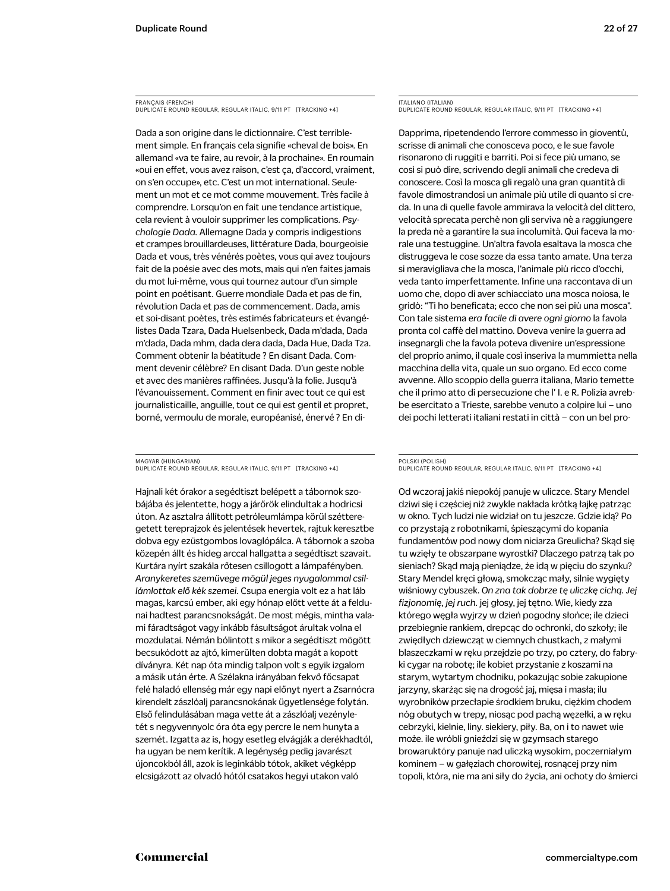FRANÇAIS (FRENCH) DUPLICATE ROUND REGULAR, REGULAR ITALIC, 9/11 PT [TRACKING +4]

Dada a son origine dans le dictionnaire. C'est terriblement simple. En français cela signifie «cheval de bois». En allemand «va te faire, au revoir, à la prochaine». En roumain «oui en effet, vous avez raison, c'est ça, d'accord, vraiment, on s'en occupe», etc. C'est un mot international. Seulement un mot et ce mot comme mouvement. Très facile à comprendre. Lorsqu'on en fait une tendance artistique, cela revient à vouloir supprimer les complications. *Psychologie Dada.* Allemagne Dada y compris indigestions et crampes brouillardeuses, littérature Dada, bourgeoisie Dada et vous, très vénérés poètes, vous qui avez toujours fait de la poésie avec des mots, mais qui n'en faites jamais du mot lui-même, vous qui tournez autour d'un simple point en poétisant. Guerre mondiale Dada et pas de fin, révolution Dada et pas de commencement. Dada, amis et soi-disant poètes, très estimés fabricateurs et évangélistes Dada Tzara, Dada Huelsenbeck, Dada m'dada, Dada m'dada, Dada mhm, dada dera dada, Dada Hue, Dada Tza. Comment obtenir la béatitude ? En disant Dada. Comment devenir célèbre? En disant Dada. D'un geste noble et avec des manières raffinées. Jusqu'à la folie. Jusqu'à l'évanouissement. Comment en finir avec tout ce qui est journalisticaille, anguille, tout ce qui est gentil et propret, borné, vermoulu de morale, européanisé, énervé ? En di-

MAGYAR (HUNGARIAN) DUPLICATE ROUND REGULAR, REGULAR ITALIC, 9/11 PT [TRACKING +4]

Hajnali két órakor a segédtiszt belépett a tábornok szobájába és jelentette, hogy a járőrök elindultak a hodricsi úton. Az asztalra állított petróleumlámpa körül szétteregetett tereprajzok és jelentések hevertek, rajtuk keresztbe dobva egy ezüstgombos lovaglópálca. A tábornok a szoba közepén állt és hideg arccal hallgatta a segédtiszt szavait. Kurtára nyírt szakála rőtesen csillogott a lámpafényben. *Aranykeretes szemüvege mögül jeges nyugalommal csillámlottak elő kék szemei.* Csupa energia volt ez a hat láb magas, karcsú ember, aki egy hónap előtt vette át a feldunai hadtest parancsnokságát. De most mégis, mintha valami fáradtságot vagy inkább fásultságot árultak volna el mozdulatai. Némán bólintott s mikor a segédtiszt mögött becsukódott az ajtó, kimerülten dobta magát a kopott díványra. Két nap óta mindig talpon volt s egyik izgalom a másik után érte. A Szélakna irányában fekvő főcsapat felé haladó ellenség már egy napi előnyt nyert a Zsarnócra kirendelt zászlóalj parancsnokának ügyetlensége folytán. Első felindulásában maga vette át a zászlóalj vezényletét s negyvennyolc óra óta egy percre le nem hunyta a szemét. Izgatta az is, hogy esetleg elvágják a derékhadtól, ha ugyan be nem kerítik. A legénység pedig javarészt újoncokból áll, azok is leginkább tótok, akiket végképp elcsigázott az olvadó hótól csatakos hegyi utakon való

ITALIANO (ITALIAN) DUPLICATE ROUND REGULAR, REGULAR ITALIC, 9/11 PT [TRACKING +4]

Dapprima, ripetendendo l'errore commesso in gioventù, scrisse di animali che conosceva poco, e le sue favole risonarono di ruggiti e barriti. Poi si fece più umano, se così si può dire, scrivendo degli animali che credeva di conoscere. Così la mosca gli regalò una gran quantità di favole dimostrandosi un animale più utile di quanto si creda. In una di quelle favole ammirava la velocità del dittero, velocità sprecata perchè non gli serviva nè a raggiungere la preda nè a garantire la sua incolumità. Qui faceva la morale una testuggine. Un'altra favola esaltava la mosca che distruggeva le cose sozze da essa tanto amate. Una terza si meravigliava che la mosca, l'animale più ricco d'occhi, veda tanto imperfettamente. Infine una raccontava di un uomo che, dopo di aver schiacciato una mosca noiosa, le gridò: "Ti ho beneficata; ecco che non sei più una mosca". Con tale sistema *era facile di avere ogni giorno* la favola pronta col caffè del mattino. Doveva venire la guerra ad insegnargli che la favola poteva divenire un'espressione del proprio animo, il quale così inseriva la mummietta nella macchina della vita, quale un suo organo. Ed ecco come avvenne. Allo scoppio della guerra italiana, Mario temette che il primo atto di persecuzione che l' I. e R. Polizia avrebbe esercitato a Trieste, sarebbe venuto a colpire lui – uno dei pochi letterati italiani restati in città – con un bel pro-

POLSKI (POLISH) DUPLICATE ROUND REGULAR, REGULAR ITALIC, 9/11 PT [TRACKING +4]

Od wczoraj jakiś niepokój panuje w uliczce. Stary Mendel dziwi się i częściej niż zwykle nakłada krótką łajkę patrząc w okno. Tych ludzi nie widział on tu jeszcze. Gdzie idą? Po co przystają z robotnikami, śpieszącymi do kopania fundamentów pod nowy dom niciarza Greulicha? Skąd się tu wzięły te obszarpane wyrostki? Dlaczego patrzą tak po sieniach? Skąd mają pieniądze, że idą w pięciu do szynku? Stary Mendel kręci głową, smokcząc mały, silnie wygięty wiśniowy cybuszek. *On zna tak dobrze tę uliczkę cichą. Jej fizjonomię, jej ruch.* jej głosy, jej tętno. Wie, kiedy zza którego węgła wyjrzy w dzień pogodny słońce; ile dzieci przebiegnie rankiem, drepcąc do ochronki, do szkoły; ile zwiędłych dziewcząt w ciemnych chustkach, z małymi blaszeczkami w ręku przejdzie po trzy, po cztery, do fabryki cygar na robotę; ile kobiet przystanie z koszami na starym, wytartym chodniku, pokazując sobie zakupione jarzyny, skarżąc się na drogość jaj, mięsa i masła; ilu wyrobników przecłapie środkiem bruku, ciężkim chodem nóg obutych w trepy, niosąc pod pachą węzełki, a w ręku cebrzyki, kielnie, liny. siekiery, piły. Ba, on i to nawet wie może. ile wróbli gnieździ się w gzymsach starego browaruktóry panuje nad uliczką wysokim, poczerniałym kominem – w gałęziach chorowitej, rosnącej przy nim topoli, która, nie ma ani siły do życia, ani ochoty do śmierci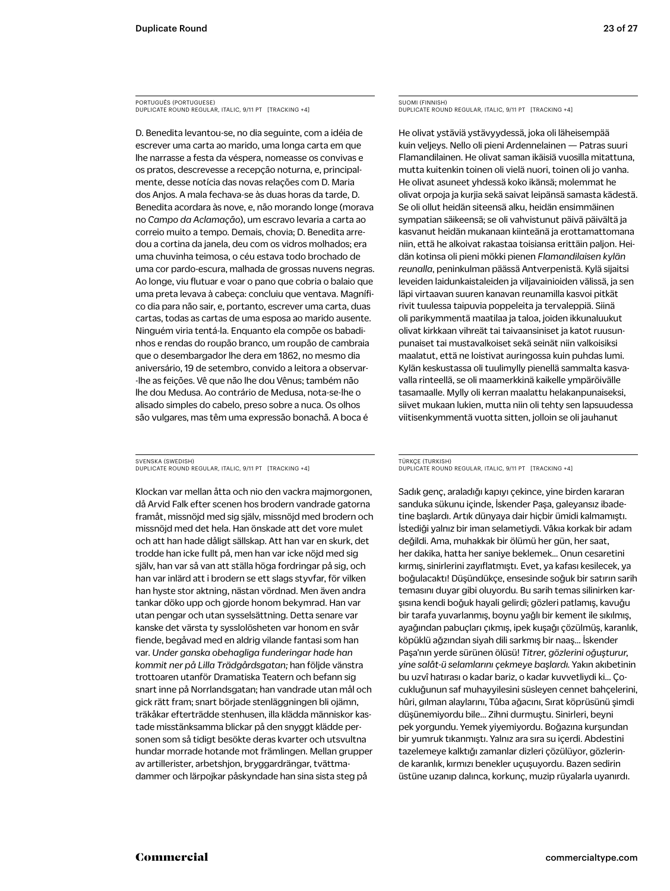PORTUGUÊS (PORTUGUESE) DUPLICATE ROUND REGULAR, ITALIC, 9/11 PT [TRACKING +4]

D. Benedita levantou-se, no dia seguinte, com a idéia de escrever uma carta ao marido, uma longa carta em que lhe narrasse a festa da véspera, nomeasse os convivas e os pratos, descrevesse a recepção noturna, e, principalmente, desse notícia das novas relações com D. Maria dos Anjos. A mala fechava-se às duas horas da tarde, D. Benedita acordara às nove, e, não morando longe (morava no *Campo da Aclamação*), um escravo levaria a carta ao correio muito a tempo. Demais, chovia; D. Benedita arredou a cortina da janela, deu com os vidros molhados; era uma chuvinha teimosa, o céu estava todo brochado de uma cor pardo-escura, malhada de grossas nuvens negras. Ao longe, viu flutuar e voar o pano que cobria o balaio que uma preta levava à cabeça: concluiu que ventava. Magnífico dia para não sair, e, portanto, escrever uma carta, duas cartas, todas as cartas de uma esposa ao marido ausente. Ninguém viria tentá-la. Enquanto ela compõe os babadinhos e rendas do roupão branco, um roupão de cambraia que o desembargador lhe dera em 1862, no mesmo dia aniversário, 19 de setembro, convido a leitora a observar- -lhe as feições. Vê que não lhe dou Vênus; também não lhe dou Medusa. Ao contrário de Medusa, nota-se-lhe o alisado simples do cabelo, preso sobre a nuca. Os olhos são vulgares, mas têm uma expressão bonachã. A boca é

SVENSKA (SWEDISH) DUPLICATE ROUND REGULAR, ITALIC, 9/11 PT [TRACKING +4]

Klockan var mellan åtta och nio den vackra majmorgonen, då Arvid Falk efter scenen hos brodern vandrade gatorna framåt, missnöjd med sig själv, missnöjd med brodern och missnöjd med det hela. Han önskade att det vore mulet och att han hade dåligt sällskap. Att han var en skurk, det trodde han icke fullt på, men han var icke nöjd med sig själv, han var så van att ställa höga fordringar på sig, och han var inlärd att i brodern se ett slags styvfar, för vilken han hyste stor aktning, nästan vördnad. Men även andra tankar döko upp och gjorde honom bekymrad. Han var utan pengar och utan sysselsättning. Detta senare var kanske det värsta ty sysslolösheten var honom en svår fiende, begåvad med en aldrig vilande fantasi som han var. *Under ganska obehagliga funderingar hade han kommit ner på Lilla Trädgårdsgatan;* han följde vänstra trottoaren utanför Dramatiska Teatern och befann sig snart inne på Norrlandsgatan; han vandrade utan mål och gick rätt fram; snart började stenläggningen bli ojämn, träkåkar efterträdde stenhusen, illa klädda människor kastade misstänksamma blickar på den snyggt klädde personen som så tidigt besökte deras kvarter och utsvultna hundar morrade hotande mot främlingen. Mellan grupper av artillerister, arbetshjon, bryggardrängar, tvättmadammer och lärpojkar påskyndade han sina sista steg på

SUOMI (FINNISH) DUPLICATE ROUND REGULAR, ITALIC, 9/11 PT [TRACKING +4]

He olivat ystäviä ystävyydessä, joka oli läheisempää kuin veljeys. Nello oli pieni Ardennelainen — Patras suuri Flamandilainen. He olivat saman ikäisiä vuosilla mitattuna, mutta kuitenkin toinen oli vielä nuori, toinen oli jo vanha. He olivat asuneet yhdessä koko ikänsä; molemmat he olivat orpoja ja kurjia sekä saivat leipänsä samasta kädestä. Se oli ollut heidän siteensä alku, heidän ensimmäinen sympatian säikeensä; se oli vahvistunut päivä päivältä ja kasvanut heidän mukanaan kiinteänä ja erottamattomana niin, että he alkoivat rakastaa toisiansa erittäin paljon. Heidän kotinsa oli pieni mökki pienen *Flamandilaisen kylän reunalla*, peninkulman päässä Antverpenistä. Kylä sijaitsi leveiden laidunkaistaleiden ja viljavainioiden välissä, ja sen läpi virtaavan suuren kanavan reunamilla kasvoi pitkät rivit tuulessa taipuvia poppeleita ja tervaleppiä. Siinä oli parikymmentä maatilaa ja taloa, joiden ikkunaluukut olivat kirkkaan vihreät tai taivaansiniset ja katot ruusunpunaiset tai mustavalkoiset sekä seinät niin valkoisiksi maalatut, että ne loistivat auringossa kuin puhdas lumi. Kylän keskustassa oli tuulimylly pienellä sammalta kasvavalla rinteellä, se oli maamerkkinä kaikelle ympäröivälle tasamaalle. Mylly oli kerran maalattu helakanpunaiseksi, siivet mukaan lukien, mutta niin oli tehty sen lapsuudessa viitisenkymmentä vuotta sitten, jolloin se oli jauhanut

TÜRKÇE (TURKISH) DUPLICATE ROUND REGULAR, ITALIC, 9/11 PT [TRACKING +4]

Sadık genç, araladığı kapıyı çekince, yine birden kararan sanduka sükunu içinde, İskender Paşa, galeyansız ibadetine başlardı. Artık dünyaya dair hiçbir ümidi kalmamıştı. İstediği yalnız bir iman selametiydi. Vâkıa korkak bir adam değildi. Ama, muhakkak bir ölümü her gün, her saat, her dakika, hatta her saniye beklemek… Onun cesaretini kırmış, sinirlerini zayıflatmıştı. Evet, ya kafası kesilecek, ya boğulacaktı! Düşündükçe, ensesinde soğuk bir satırın sarih temasını duyar gibi oluyordu. Bu sarih temas silinirken karşısına kendi boğuk hayali gelirdi; gözleri patlamış, kavuğu bir tarafa yuvarlanmış, boynu yağlı bir kement ile sıkılmış, ayağından pabuçları çıkmış, ipek kuşağı çözülmüş, karanlık, köpüklü ağzından siyah dili sarkmış bir naaş… İskender Paşa'nın yerde sürünen ölüsü! *Titrer, gözlerini oğuşturur, yine salât-ü selamlarını çekmeye başlardı.* Yakın akıbetinin bu uzvî hatırası o kadar bariz, o kadar kuvvetliydi ki… Çocukluğunun saf muhayyilesini süsleyen cennet bahçelerini, hûri, gılman alaylarını, Tûba ağacını, Sırat köprüsünü şimdi düşünemiyordu bile… Zihni durmuştu. Sinirleri, beyni pek yorgundu. Yemek yiyemiyordu. Boğazına kurşundan bir yumruk tıkanmıştı. Yalnız ara sıra su içerdi. Abdestini tazelemeye kalktığı zamanlar dizleri çözülüyor, gözlerinde karanlık, kırmızı benekler uçuşuyordu. Bazen sedirin üstüne uzanıp dalınca, korkunç, muzip rüyalarla uyanırdı.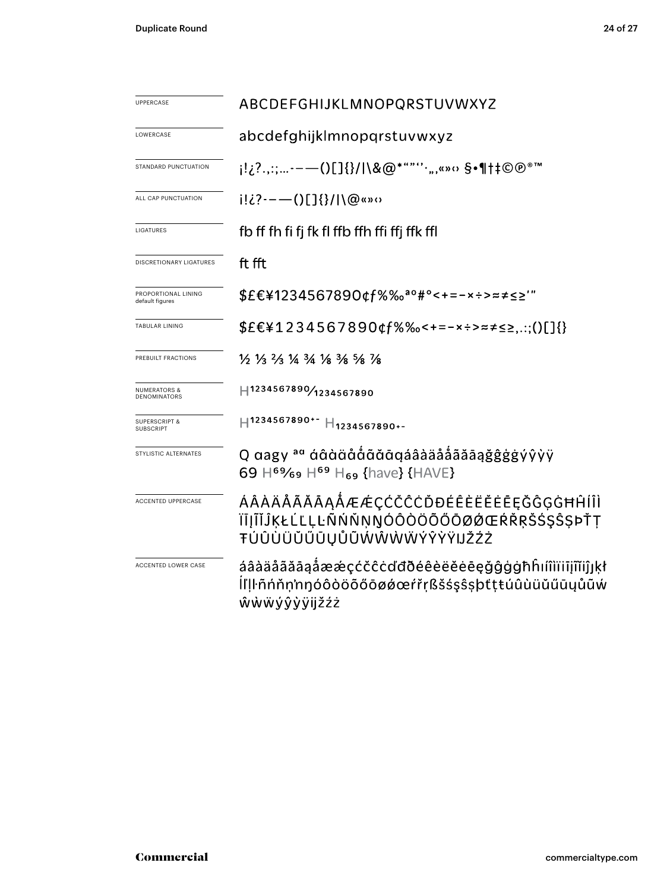| <b>UPPERCASE</b>                             | ABCDEFGHIJKLMNOPQRSTUVWXYZ                                                                                                           |  |  |  |  |
|----------------------------------------------|--------------------------------------------------------------------------------------------------------------------------------------|--|--|--|--|
| LOWERCASE                                    | abcdefghijklmnopqrstuvwxyz                                                                                                           |  |  |  |  |
| STANDARD PUNCTUATION                         | j!¿?.,:;-——()[]{}/ \&@*""''·",«»× §•¶†‡©®®™                                                                                          |  |  |  |  |
| ALL CAP PUNCTUATION                          | $i! \lambda i! \lambda i! \lambda \cdots$ () [] $\{\}\!/ \ \ \varpi\ $ (2 $\>$ 0                                                     |  |  |  |  |
| LIGATURES                                    | fb ff fh fi fj fk fl ffb ffh ffi ffj ffk ffl                                                                                         |  |  |  |  |
| <b>DISCRETIONARY LIGATURES</b>               | ft fft                                                                                                                               |  |  |  |  |
| PROPORTIONAL LINING<br>default figures       | \$£€¥1234567890¢f%‰ <sup>ao</sup> #°<+=-×÷>≈≠≤≥'"                                                                                    |  |  |  |  |
| <b>TABULAR LINING</b>                        | $$EE41234567890$ cf%%-+=-x÷>=======;:;()[]{}                                                                                         |  |  |  |  |
| PREBUILT FRACTIONS                           | $\frac{1}{6}$ $\frac{1}{3}$ $\frac{2}{3}$ $\frac{1}{4}$ $\frac{3}{4}$ $\frac{1}{8}$ $\frac{3}{8}$ $\frac{5}{8}$ $\frac{7}{8}$        |  |  |  |  |
| <b>NUMERATORS &amp;</b><br>DENOMINATORS      | H1234567890/1234567890                                                                                                               |  |  |  |  |
| <b>SUPERSCRIPT &amp;</b><br><b>SUBSCRIPT</b> | H1234567890+- H <sub>1234567890+-</sub>                                                                                              |  |  |  |  |
| STYLISTIC ALTERNATES                         | Q aagy <sup>aa</sup> áâàäååãāqáâàäååããāąǧĝġġýŷỳÿ<br>69 H <sup>69</sup> / <sub>69</sub> H <sup>69</sup> H <sub>69</sub> {have} {HAVE} |  |  |  |  |
| <b>ACCENTED UPPERCASE</b>                    | ÁÂÀÄÅÃĂĀĄÅÆÆÇĆČĈĊĎĐÉÊÈËĔĒĘĞĜĢĠĦĤÍÎÌ<br>ÏĪJĨĬĴĶŁĹĽĻĿÑŃŇŅŊÓÔÒÖÕŐŌØØŒŔŘŖŠŚŞŜŞÞŤŢ<br>ŦÚÛÙÜŬŰŪŲŮŨŴŴŴŴÝŶŸŸIJŽŹŻ                            |  |  |  |  |
| ACCENTED LOWER CASE                          | áâàäåãăāaåææçćčĉċďđðéêèëĕėēęğĝġġħĥıíîìïiījĩĭiĵյķł<br>ĺľḷŀñńňṇ'nŋóôòöõőōøǿœŕřṛßšśşŝşþtṭŧúûùüŭűūyůũẃ<br>ŵẁẅýŷỳÿijžźż                   |  |  |  |  |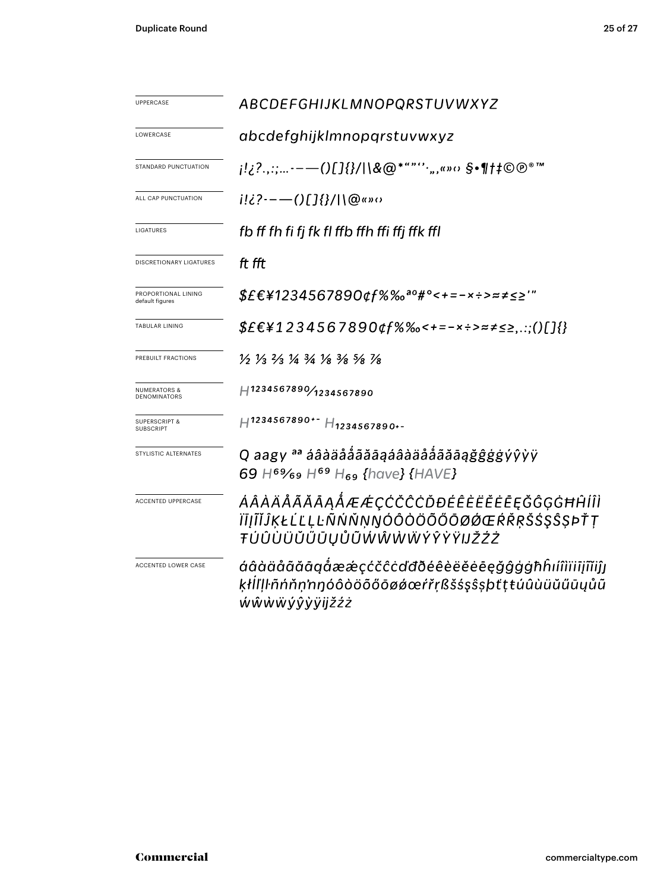| UPPERCASE                                      | ABCDEFGHIJKLMNOPQRSTUVWXYZ                                                                                                             |  |  |  |  |  |
|------------------------------------------------|----------------------------------------------------------------------------------------------------------------------------------------|--|--|--|--|--|
| LOWERCASE                                      | abcdefghijklmnopqrstuvwxyz                                                                                                             |  |  |  |  |  |
| STANDARD PUNCTUATION                           | j!¿?.,:;-—()[]{}/ \&@*""''·",«»⇔§•¶†‡©®®™                                                                                              |  |  |  |  |  |
| ALL CAP PUNCTUATION                            | $i!i$ ?---()[]{}/ \@«»0                                                                                                                |  |  |  |  |  |
| LIGATURES                                      | fb ff fh fi fj fk fl ffb ffh ffi ffj ffk ffl                                                                                           |  |  |  |  |  |
| DISCRETIONARY LIGATURES                        | ft fft                                                                                                                                 |  |  |  |  |  |
| PROPORTIONAL LINING<br>default figures         | \$£€¥1234567890¢f%‰ <sup>ao</sup> #°<+=-×÷>≈≠≤≥'"                                                                                      |  |  |  |  |  |
| TABULAR LINING                                 | $$EE41234567890$ gf%%<+=-x÷>≈≠≤≥,.:;()[]{}                                                                                             |  |  |  |  |  |
| PREBUILT FRACTIONS                             | $\frac{1}{2}$ $\frac{1}{3}$ $\frac{2}{3}$ $\frac{1}{4}$ $\frac{3}{4}$ $\frac{1}{8}$ $\frac{3}{8}$ $\frac{5}{8}$ $\frac{1}{8}$          |  |  |  |  |  |
| <b>NUMERATORS &amp;</b><br><b>DENOMINATORS</b> | H1234567890/1234567890                                                                                                                 |  |  |  |  |  |
| <b>SUPERSCRIPT &amp;</b><br><b>SUBSCRIPT</b>   | $H$ 1234567890+- $H$ 1234567890+-                                                                                                      |  |  |  |  |  |
| STYLISTIC ALTERNATES                           | Q aagy <sup>aa</sup> áâàäåååãāąáâàäåååãāaġĝĝġġýŷỳÿ<br>69 H <sup>69</sup> / <sub>69</sub> H <sup>69</sup> H <sub>69</sub> {have} {HAVE} |  |  |  |  |  |
| <b>ACCENTED UPPERCASE</b>                      | ÁÂÀÄÅÃĂĀĄÅÆÆÇĊČĊŎĐÉÊÈËĔĒĘĞĜĢĠĦĤĺÎÌ<br>ĬĪĮĨĬĴĶŁĹĽĻĿÑŃŇŅŊÓÔŎŎŎŎŎØØŒŔŘŖŠŚŞŜŞÞŤŢ<br>ŦÚÛÙÜŬŰŪŲŮŨŴŴŴŴŶŶŸŸIJŽŹŻ                               |  |  |  |  |  |
| ACCENTED LOWER CASE                            | áâàäåããāąåææçćčĉċďđðéêèëĕėēęğĝģġħĥıíîìïiījĩĭiĵj<br>ķłİľļŀñńňṇ'nŋóôòöõőōøǿœŕřṛßšśşŝşþťṭŧúûùüŭűūųůũ<br>ŴŴŴŴýŷỳÿijžźż                     |  |  |  |  |  |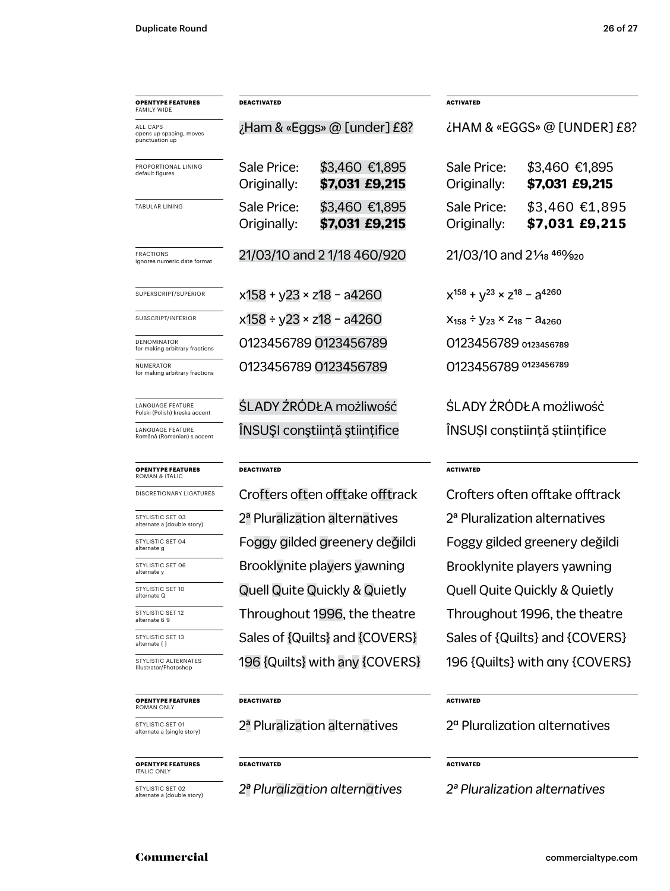| <b>OPENTYPE FEATURES</b><br><b>FAMILY WIDE</b>        | <b>DEACTIVATED</b>                 |                                          | <b>ACTIVATED</b>                                   |                                           |  |
|-------------------------------------------------------|------------------------------------|------------------------------------------|----------------------------------------------------|-------------------------------------------|--|
| ALL CAPS<br>opens up spacing, moves<br>punctuation up |                                    | ¿Ham & «Eggs» @ [under] £8?              | ¿HAM & «EGGS» @ [UNDER] £8?                        |                                           |  |
| PROPORTIONAL LINING<br>default figures                | Sale Price:<br>Originally:         | \$3,460 €1,895<br>\$7,031 £9,215         | Sale Price:<br>Originally:                         | \$3,460 €1,895<br>\$7,031 £9,215          |  |
| <b>TABULAR LINING</b>                                 | Sale Price:<br>Originally:         | \$3,460 €1,895<br>\$7,031 £9,215         | Sale Price:<br>Originally:                         | \$3,460 €1,895<br>\$7,031 £9,215          |  |
| <b>FRACTIONS</b><br>ignores numeric date format       | 21/03/10 and 2 1/18 460/920        |                                          | 21/03/10 and 21/ <sub>18</sub> 460/ <sub>920</sub> |                                           |  |
| SUPERSCRIPT/SUPERIOR                                  | $x158 + y23 \times z18 - a4260$    |                                          | $x^{158} + y^{23} \times z^{18} - a^{4260}$        |                                           |  |
| SUBSCRIPT/INFERIOR                                    | $x158 \div y23 \times z18 - a4260$ |                                          | $X_{158} \div Y_{23} \times Z_{18} - A_{4260}$     |                                           |  |
| DENOMINATOR<br>for making arbitrary fractions         | 0123456789 0123456789              |                                          | 0123456789 0123456789                              |                                           |  |
| NUMERATOR<br>for making arbitrary fractions           |                                    | 0123456789 0123456789                    | 0123456789 0123456789                              |                                           |  |
| LANGUAGE FEATURE<br>Polski (Polish) kreska accent     |                                    | ŚLADY ŹRÓDŁA możliwość                   | ŚLADY ŻRÓDŁA możliwość                             |                                           |  |
| LANGUAGE FEATURE<br>Română (Romanian) s accent        |                                    | ÎNSUȘI conștiință științifice            | INSUȘI conștiință științifice                      |                                           |  |
| <b>OPENTYPE FEATURES</b><br><b>ROMAN &amp; ITALIC</b> | <b>DEACTIVATED</b>                 |                                          | <b>ACTIVATED</b>                                   |                                           |  |
| DISCRETIONARY LIGATURES                               |                                    | Crofters often offtake offtrack          | Crofters often offtake offtrack                    |                                           |  |
| STYLISTIC SET 03<br>alternate a (double story)        |                                    | 2ª Pluralization alternatives            |                                                    | 2 <sup>ª</sup> Pluralization alternatives |  |
| STYLISTIC SET 04<br>alternate g                       |                                    | Foggy gilded greenery değildi            |                                                    | Foggy gilded greenery değildi             |  |
| STYLISTIC SET 06<br>alternate y                       |                                    | Brooklynite players yawning              | Brooklynite players yawning                        |                                           |  |
| STYLISTIC SET 10<br>alternate Q                       |                                    | <b>Quell Quite Quickly &amp; Quietly</b> | <b>Quell Quite Quickly &amp; Quietly</b>           |                                           |  |
| STYLISTIC SET 12<br>alternate 6 9                     |                                    | Throughout 1996, the theatre             | Throughout 1996, the theatre                       |                                           |  |
| STYLISTIC SET 13<br>alternate { }                     |                                    | Sales of {Quilts} and {COVERS}           | Sales of {Quilts} and {COVERS}                     |                                           |  |
| STYLISTIC ALTERNATES<br>Illustrator/Photoshop         |                                    | 196 {Quilts} with any {COVERS}           | 196 {Quilts} with any {COVERS}                     |                                           |  |
| <b>OPENTYPE FEATURES</b><br>ROMAN ONLY                | <b>DEACTIVATED</b>                 |                                          |                                                    | <b>ACTIVATED</b>                          |  |
| STYLISTIC SET 01<br>alternate a (single story)        |                                    | 2ª Pluralization alternatives            | 2 <sup>a</sup> Pluralization alternatives          |                                           |  |
| <b>OPENTYPE FEATURES</b><br><b>ITALIC ONLY</b>        | DEACTIVATED                        | <b>ACTIVATED</b>                         |                                                    |                                           |  |
| STYLISTIC SET 02<br>alternate a (double story)        | 2ª Pluralization alternatives      |                                          | 2 <sup>ª</sup> Pluralization alternatives          |                                           |  |

### Commercial commercialtype.com